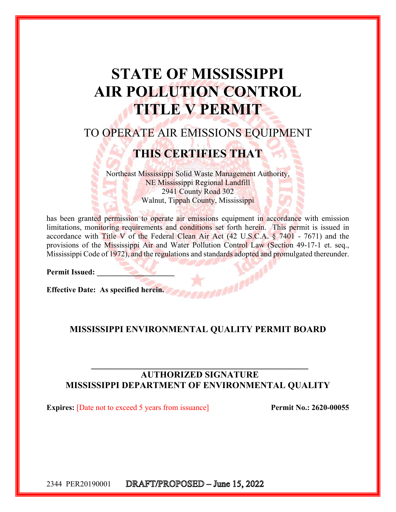# **STATE OF MISSISSIPPI AIR POLLUTION CONTROL TITLE V PERMIT**

# TO OPERATE AIR EMISSIONS EQUIPMENT

# **THIS CERTIFIES THAT**

Northeast Mississippi Solid Waste Management Authority, NE Mississippi Regional Landfill 2941 County Road 302 Walnut, Tippah County, Mississippi

has been granted permission to operate air emissions equipment in accordance with emission limitations, monitoring requirements and conditions set forth herein. This permit is issued in accordance with Title V of the Federal Clean Air Act  $(42 \text{ U.S.C.A. } § 7401 - 7671)$  and the provisions of the Mississippi Air and Water Pollution Control Law (Section 49-17-1 et. seq., Mississippi Code of 1972), and the regulations and standards adopted and promulgated thereunder.

Permit Issued:

**Effective Date: As specified herein.** 

#### **MISSISSIPPI ENVIRONMENTAL QUALITY PERMIT BOARD**

### **AUTHORIZED SIGNATURE MISSISSIPPI DEPARTMENT OF ENVIRONMENTAL QUALITY**

**Expires:** [Date not to exceed 5 years from issuance] Permit No.: 2620-00055

DRAFT/PROPOSED - June 15, 2022 2344 PER20190001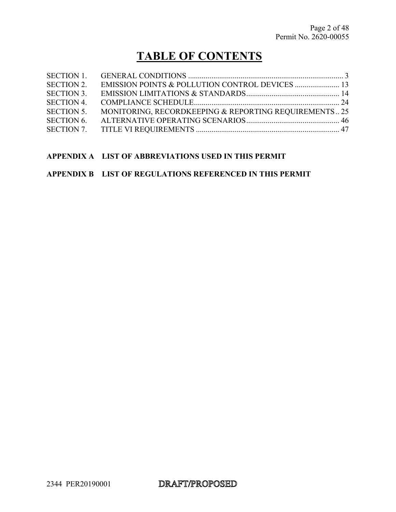# **TABLE OF CONTENTS**

| <b>SECTION 1.</b> |                                                       |  |
|-------------------|-------------------------------------------------------|--|
| <b>SECTION 2.</b> |                                                       |  |
| <b>SECTION 3.</b> |                                                       |  |
| <b>SECTION 4.</b> |                                                       |  |
| SECTION 5.        | MONITORING, RECORDKEEPING & REPORTING REQUIREMENTS 25 |  |
| <b>SECTION 6.</b> |                                                       |  |
| SECTION 7.        |                                                       |  |

#### **APPENDIX A LIST OF ABBREVIATIONS USED IN THIS PERMIT**

#### **APPENDIX B LIST OF REGULATIONS REFERENCED IN THIS PERMIT**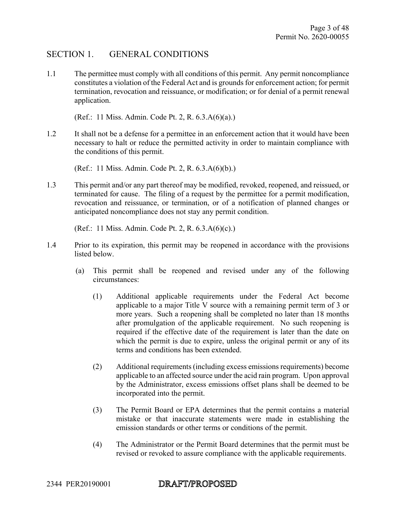#### SECTION 1. GENERAL CONDITIONS

1.1 The permittee must comply with all conditions of this permit. Any permit noncompliance constitutes a violation of the Federal Act and is grounds for enforcement action; for permit termination, revocation and reissuance, or modification; or for denial of a permit renewal application.

(Ref.: 11 Miss. Admin. Code Pt. 2, R. 6.3.A(6)(a).)

1.2 It shall not be a defense for a permittee in an enforcement action that it would have been necessary to halt or reduce the permitted activity in order to maintain compliance with the conditions of this permit.

(Ref.: 11 Miss. Admin. Code Pt. 2, R. 6.3.A(6)(b).)

1.3 This permit and/or any part thereof may be modified, revoked, reopened, and reissued, or terminated for cause. The filing of a request by the permittee for a permit modification, revocation and reissuance, or termination, or of a notification of planned changes or anticipated noncompliance does not stay any permit condition.

(Ref.: 11 Miss. Admin. Code Pt. 2, R. 6.3.A(6)(c).)

- 1.4 Prior to its expiration, this permit may be reopened in accordance with the provisions listed below.
	- (a) This permit shall be reopened and revised under any of the following circumstances:
		- (1) Additional applicable requirements under the Federal Act become applicable to a major Title V source with a remaining permit term of 3 or more years. Such a reopening shall be completed no later than 18 months after promulgation of the applicable requirement. No such reopening is required if the effective date of the requirement is later than the date on which the permit is due to expire, unless the original permit or any of its terms and conditions has been extended.
		- (2) Additional requirements (including excess emissions requirements) become applicable to an affected source under the acid rain program. Upon approval by the Administrator, excess emissions offset plans shall be deemed to be incorporated into the permit.
		- (3) The Permit Board or EPA determines that the permit contains a material mistake or that inaccurate statements were made in establishing the emission standards or other terms or conditions of the permit.
		- (4) The Administrator or the Permit Board determines that the permit must be revised or revoked to assure compliance with the applicable requirements.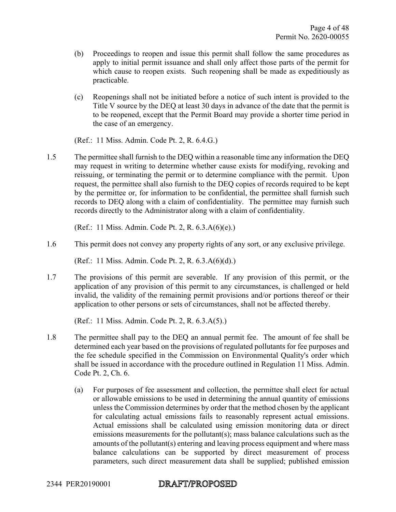- (b) Proceedings to reopen and issue this permit shall follow the same procedures as apply to initial permit issuance and shall only affect those parts of the permit for which cause to reopen exists. Such reopening shall be made as expeditiously as practicable.
- (c) Reopenings shall not be initiated before a notice of such intent is provided to the Title V source by the DEQ at least 30 days in advance of the date that the permit is to be reopened, except that the Permit Board may provide a shorter time period in the case of an emergency.

(Ref.: 11 Miss. Admin. Code Pt. 2, R. 6.4.G.)

1.5 The permittee shall furnish to the DEQ within a reasonable time any information the DEQ may request in writing to determine whether cause exists for modifying, revoking and reissuing, or terminating the permit or to determine compliance with the permit. Upon request, the permittee shall also furnish to the DEQ copies of records required to be kept by the permittee or, for information to be confidential, the permittee shall furnish such records to DEQ along with a claim of confidentiality. The permittee may furnish such records directly to the Administrator along with a claim of confidentiality.

(Ref.: 11 Miss. Admin. Code Pt. 2, R. 6.3.A(6)(e).)

1.6 This permit does not convey any property rights of any sort, or any exclusive privilege.

(Ref.: 11 Miss. Admin. Code Pt. 2, R. 6.3.A(6)(d).)

1.7 The provisions of this permit are severable. If any provision of this permit, or the application of any provision of this permit to any circumstances, is challenged or held invalid, the validity of the remaining permit provisions and/or portions thereof or their application to other persons or sets of circumstances, shall not be affected thereby.

(Ref.: 11 Miss. Admin. Code Pt. 2, R. 6.3.A(5).)

- 1.8 The permittee shall pay to the DEQ an annual permit fee. The amount of fee shall be determined each year based on the provisions of regulated pollutants for fee purposes and the fee schedule specified in the Commission on Environmental Quality's order which shall be issued in accordance with the procedure outlined in Regulation 11 Miss. Admin. Code Pt. 2, Ch. 6.
	- (a) For purposes of fee assessment and collection, the permittee shall elect for actual or allowable emissions to be used in determining the annual quantity of emissions unless the Commission determines by order that the method chosen by the applicant for calculating actual emissions fails to reasonably represent actual emissions. Actual emissions shall be calculated using emission monitoring data or direct emissions measurements for the pollutant(s); mass balance calculations such as the amounts of the pollutant(s) entering and leaving process equipment and where mass balance calculations can be supported by direct measurement of process parameters, such direct measurement data shall be supplied; published emission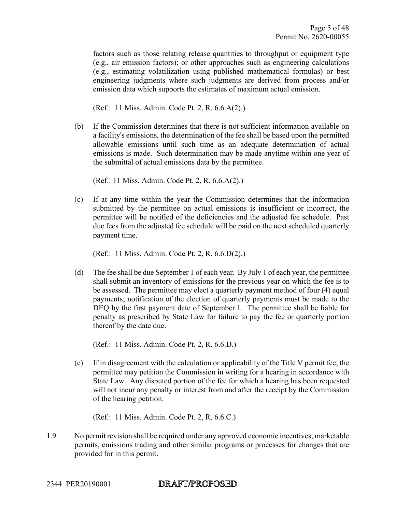factors such as those relating release quantities to throughput or equipment type (e.g., air emission factors); or other approaches such as engineering calculations (e.g., estimating volatilization using published mathematical formulas) or best engineering judgments where such judgments are derived from process and/or emission data which supports the estimates of maximum actual emission.

(Ref.: 11 Miss. Admin. Code Pt. 2, R. 6.6.A(2).)

(b) If the Commission determines that there is not sufficient information available on a facility's emissions, the determination of the fee shall be based upon the permitted allowable emissions until such time as an adequate determination of actual emissions is made. Such determination may be made anytime within one year of the submittal of actual emissions data by the permittee.

(Ref.: 11 Miss. Admin. Code Pt. 2, R. 6.6.A(2).)

(c) If at any time within the year the Commission determines that the information submitted by the permittee on actual emissions is insufficient or incorrect, the permittee will be notified of the deficiencies and the adjusted fee schedule. Past due fees from the adjusted fee schedule will be paid on the next scheduled quarterly payment time.

(Ref.: 11 Miss. Admin. Code Pt. 2, R. 6.6.D(2).)

(d) The fee shall be due September 1 of each year. By July 1 of each year, the permittee shall submit an inventory of emissions for the previous year on which the fee is to be assessed. The permittee may elect a quarterly payment method of four (4) equal payments; notification of the election of quarterly payments must be made to the DEQ by the first payment date of September 1. The permittee shall be liable for penalty as prescribed by State Law for failure to pay the fee or quarterly portion thereof by the date due.

(Ref.: 11 Miss. Admin. Code Pt. 2, R. 6.6.D.)

(e) If in disagreement with the calculation or applicability of the Title V permit fee, the permittee may petition the Commission in writing for a hearing in accordance with State Law. Any disputed portion of the fee for which a hearing has been requested will not incur any penalty or interest from and after the receipt by the Commission of the hearing petition.

(Ref.: 11 Miss. Admin. Code Pt. 2, R. 6.6.C.)

1.9 No permit revision shall be required under any approved economic incentives, marketable permits, emissions trading and other similar programs or processes for changes that are provided for in this permit.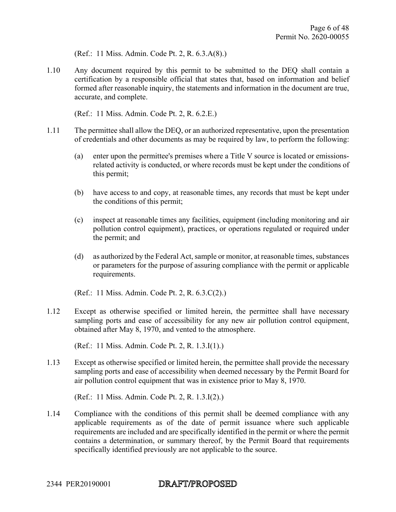(Ref.: 11 Miss. Admin. Code Pt. 2, R. 6.3.A(8).)

1.10 Any document required by this permit to be submitted to the DEQ shall contain a certification by a responsible official that states that, based on information and belief formed after reasonable inquiry, the statements and information in the document are true, accurate, and complete.

(Ref.: 11 Miss. Admin. Code Pt. 2, R. 6.2.E.)

- 1.11 The permittee shall allow the DEQ, or an authorized representative, upon the presentation of credentials and other documents as may be required by law, to perform the following:
	- (a) enter upon the permittee's premises where a Title V source is located or emissionsrelated activity is conducted, or where records must be kept under the conditions of this permit;
	- (b) have access to and copy, at reasonable times, any records that must be kept under the conditions of this permit;
	- (c) inspect at reasonable times any facilities, equipment (including monitoring and air pollution control equipment), practices, or operations regulated or required under the permit; and
	- (d) as authorized by the Federal Act, sample or monitor, at reasonable times, substances or parameters for the purpose of assuring compliance with the permit or applicable requirements.

(Ref.: 11 Miss. Admin. Code Pt. 2, R. 6.3.C(2).)

1.12 Except as otherwise specified or limited herein, the permittee shall have necessary sampling ports and ease of accessibility for any new air pollution control equipment, obtained after May 8, 1970, and vented to the atmosphere.

(Ref.: 11 Miss. Admin. Code Pt. 2, R. 1.3.I(1).)

1.13 Except as otherwise specified or limited herein, the permittee shall provide the necessary sampling ports and ease of accessibility when deemed necessary by the Permit Board for air pollution control equipment that was in existence prior to May 8, 1970.

(Ref.: 11 Miss. Admin. Code Pt. 2, R. 1.3.I(2).)

1.14 Compliance with the conditions of this permit shall be deemed compliance with any applicable requirements as of the date of permit issuance where such applicable requirements are included and are specifically identified in the permit or where the permit contains a determination, or summary thereof, by the Permit Board that requirements specifically identified previously are not applicable to the source.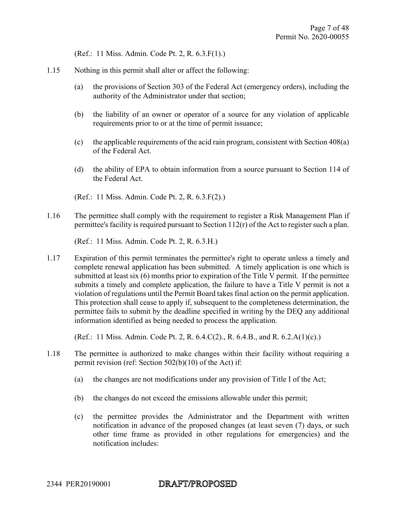(Ref.: 11 Miss. Admin. Code Pt. 2, R. 6.3.F(1).)

- 1.15 Nothing in this permit shall alter or affect the following:
	- (a) the provisions of Section 303 of the Federal Act (emergency orders), including the authority of the Administrator under that section;
	- (b) the liability of an owner or operator of a source for any violation of applicable requirements prior to or at the time of permit issuance;
	- (c) the applicable requirements of the acid rain program, consistent with Section 408(a) of the Federal Act.
	- (d) the ability of EPA to obtain information from a source pursuant to Section 114 of the Federal Act.
	- (Ref.: 11 Miss. Admin. Code Pt. 2, R. 6.3.F(2).)
- 1.16 The permittee shall comply with the requirement to register a Risk Management Plan if permittee's facility is required pursuant to Section 112(r) of the Act to register such a plan.

(Ref.: 11 Miss. Admin. Code Pt. 2, R. 6.3.H.)

1.17 Expiration of this permit terminates the permittee's right to operate unless a timely and complete renewal application has been submitted. A timely application is one which is submitted at least six (6) months prior to expiration of the Title V permit. If the permittee submits a timely and complete application, the failure to have a Title V permit is not a violation of regulations until the Permit Board takes final action on the permit application. This protection shall cease to apply if, subsequent to the completeness determination, the permittee fails to submit by the deadline specified in writing by the DEQ any additional information identified as being needed to process the application.

(Ref.: 11 Miss. Admin. Code Pt. 2, R. 6.4.C(2)., R. 6.4.B., and R. 6.2.A(1)(c).)

- 1.18 The permittee is authorized to make changes within their facility without requiring a permit revision (ref: Section 502(b)(10) of the Act) if:
	- (a) the changes are not modifications under any provision of Title I of the Act;
	- (b) the changes do not exceed the emissions allowable under this permit;
	- (c) the permittee provides the Administrator and the Department with written notification in advance of the proposed changes (at least seven (7) days, or such other time frame as provided in other regulations for emergencies) and the notification includes: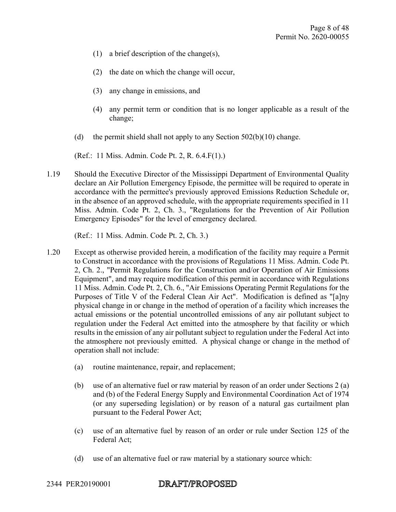- (1) a brief description of the change(s),
- (2) the date on which the change will occur,
- (3) any change in emissions, and
- (4) any permit term or condition that is no longer applicable as a result of the change;
- (d) the permit shield shall not apply to any Section  $502(b)(10)$  change.

(Ref.: 11 Miss. Admin. Code Pt. 2, R. 6.4.F(1).)

1.19 Should the Executive Director of the Mississippi Department of Environmental Quality declare an Air Pollution Emergency Episode, the permittee will be required to operate in accordance with the permittee's previously approved Emissions Reduction Schedule or, in the absence of an approved schedule, with the appropriate requirements specified in 11 Miss. Admin. Code Pt. 2, Ch. 3., "Regulations for the Prevention of Air Pollution Emergency Episodes" for the level of emergency declared.

(Ref.: 11 Miss. Admin. Code Pt. 2, Ch. 3.)

- 1.20 Except as otherwise provided herein, a modification of the facility may require a Permit to Construct in accordance with the provisions of Regulations 11 Miss. Admin. Code Pt. 2, Ch. 2., "Permit Regulations for the Construction and/or Operation of Air Emissions Equipment", and may require modification of this permit in accordance with Regulations 11 Miss. Admin. Code Pt. 2, Ch. 6., "Air Emissions Operating Permit Regulations for the Purposes of Title V of the Federal Clean Air Act". Modification is defined as "[a]ny physical change in or change in the method of operation of a facility which increases the actual emissions or the potential uncontrolled emissions of any air pollutant subject to regulation under the Federal Act emitted into the atmosphere by that facility or which results in the emission of any air pollutant subject to regulation under the Federal Act into the atmosphere not previously emitted. A physical change or change in the method of operation shall not include:
	- (a) routine maintenance, repair, and replacement;
	- (b) use of an alternative fuel or raw material by reason of an order under Sections 2 (a) and (b) of the Federal Energy Supply and Environmental Coordination Act of 1974 (or any superseding legislation) or by reason of a natural gas curtailment plan pursuant to the Federal Power Act;
	- (c) use of an alternative fuel by reason of an order or rule under Section 125 of the Federal Act;
	- (d) use of an alternative fuel or raw material by a stationary source which: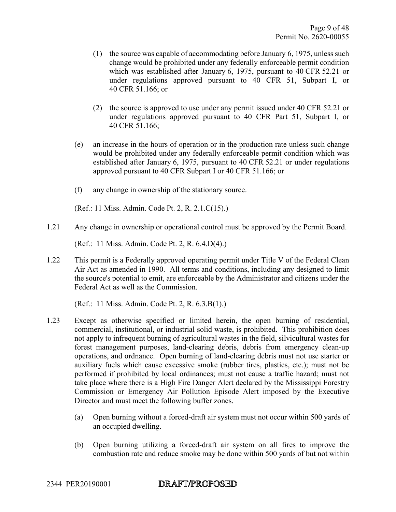- (1) the source was capable of accommodating before January 6, 1975, unless such change would be prohibited under any federally enforceable permit condition which was established after January 6, 1975, pursuant to 40 CFR 52.21 or under regulations approved pursuant to 40 CFR 51, Subpart I, or 40 CFR 51.166; or
- (2) the source is approved to use under any permit issued under 40 CFR 52.21 or under regulations approved pursuant to 40 CFR Part 51, Subpart I, or 40 CFR 51.166;
- (e) an increase in the hours of operation or in the production rate unless such change would be prohibited under any federally enforceable permit condition which was established after January 6, 1975, pursuant to 40 CFR 52.21 or under regulations approved pursuant to 40 CFR Subpart I or 40 CFR 51.166; or
- (f) any change in ownership of the stationary source.

(Ref.: 11 Miss. Admin. Code Pt. 2, R. 2.1.C(15).)

1.21 Any change in ownership or operational control must be approved by the Permit Board.

(Ref.: 11 Miss. Admin. Code Pt. 2, R. 6.4.D(4).)

1.22 This permit is a Federally approved operating permit under Title V of the Federal Clean Air Act as amended in 1990. All terms and conditions, including any designed to limit the source's potential to emit, are enforceable by the Administrator and citizens under the Federal Act as well as the Commission.

(Ref.: 11 Miss. Admin. Code Pt. 2, R. 6.3.B(1).)

- 1.23 Except as otherwise specified or limited herein, the open burning of residential, commercial, institutional, or industrial solid waste, is prohibited. This prohibition does not apply to infrequent burning of agricultural wastes in the field, silvicultural wastes for forest management purposes, land-clearing debris, debris from emergency clean-up operations, and ordnance. Open burning of land-clearing debris must not use starter or auxiliary fuels which cause excessive smoke (rubber tires, plastics, etc.); must not be performed if prohibited by local ordinances; must not cause a traffic hazard; must not take place where there is a High Fire Danger Alert declared by the Mississippi Forestry Commission or Emergency Air Pollution Episode Alert imposed by the Executive Director and must meet the following buffer zones.
	- (a) Open burning without a forced-draft air system must not occur within 500 yards of an occupied dwelling.
	- (b) Open burning utilizing a forced-draft air system on all fires to improve the combustion rate and reduce smoke may be done within 500 yards of but not within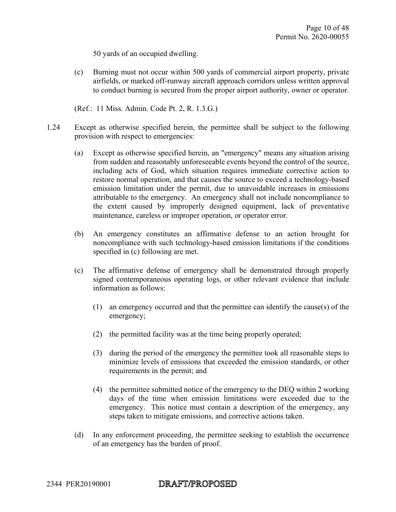50 yards of an occupied dwelling.

- (c) Burning must not occur within 500 yards of commercial airport property, private airfields, or marked off-runway aircraft approach corridors unless written approval to conduct burning is secured from the proper airport authority, owner or operator.
- (Ref.: 11 Miss. Admin. Code Pt. 2, R. 1.3.G.)
- 1.24 Except as otherwise specified herein, the permittee shall be subject to the following provision with respect to emergencies:
	- (a) Except as otherwise specified herein, an "emergency" means any situation arising from sudden and reasonably unforeseeable events beyond the control of the source, including acts of God, which situation requires immediate corrective action to restore normal operation, and that causes the source to exceed a technology-based emission limitation under the permit, due to unavoidable increases in emissions attributable to the emergency. An emergency shall not include noncompliance to the extent caused by improperly designed equipment, lack of preventative maintenance, careless or improper operation, or operator error.
	- (b) An emergency constitutes an affirmative defense to an action brought for noncompliance with such technology-based emission limitations if the conditions specified in (c) following are met.
	- (c) The affirmative defense of emergency shall be demonstrated through properly signed contemporaneous operating logs, or other relevant evidence that include information as follows:
		- (1) an emergency occurred and that the permittee can identify the cause(s) of the emergency;
		- (2) the permitted facility was at the time being properly operated;
		- (3) during the period of the emergency the permittee took all reasonable steps to minimize levels of emissions that exceeded the emission standards, or other requirements in the permit; and
		- (4) the permittee submitted notice of the emergency to the DEQ within 2 working days of the time when emission limitations were exceeded due to the emergency. This notice must contain a description of the emergency, any steps taken to mitigate emissions, and corrective actions taken.
	- (d) In any enforcement proceeding, the permittee seeking to establish the occurrence of an emergency has the burden of proof.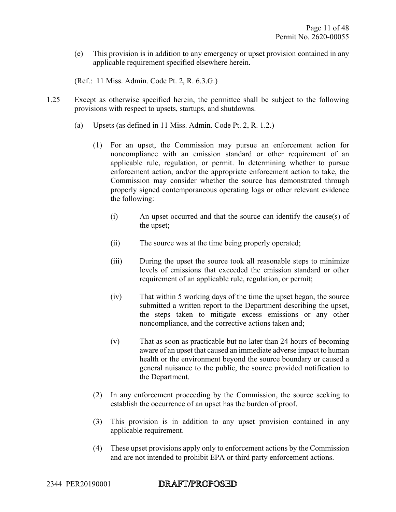(e) This provision is in addition to any emergency or upset provision contained in any applicable requirement specified elsewhere herein.

(Ref.: 11 Miss. Admin. Code Pt. 2, R. 6.3.G.)

- 1.25 Except as otherwise specified herein, the permittee shall be subject to the following provisions with respect to upsets, startups, and shutdowns.
	- (a) Upsets (as defined in 11 Miss. Admin. Code Pt. 2, R. 1.2.)
		- (1) For an upset, the Commission may pursue an enforcement action for noncompliance with an emission standard or other requirement of an applicable rule, regulation, or permit. In determining whether to pursue enforcement action, and/or the appropriate enforcement action to take, the Commission may consider whether the source has demonstrated through properly signed contemporaneous operating logs or other relevant evidence the following:
			- (i) An upset occurred and that the source can identify the cause(s) of the upset;
			- (ii) The source was at the time being properly operated;
			- (iii) During the upset the source took all reasonable steps to minimize levels of emissions that exceeded the emission standard or other requirement of an applicable rule, regulation, or permit;
			- (iv) That within 5 working days of the time the upset began, the source submitted a written report to the Department describing the upset, the steps taken to mitigate excess emissions or any other noncompliance, and the corrective actions taken and;
			- (v) That as soon as practicable but no later than 24 hours of becoming aware of an upset that caused an immediate adverse impact to human health or the environment beyond the source boundary or caused a general nuisance to the public, the source provided notification to the Department.
		- (2) In any enforcement proceeding by the Commission, the source seeking to establish the occurrence of an upset has the burden of proof.
		- (3) This provision is in addition to any upset provision contained in any applicable requirement.
		- (4) These upset provisions apply only to enforcement actions by the Commission and are not intended to prohibit EPA or third party enforcement actions.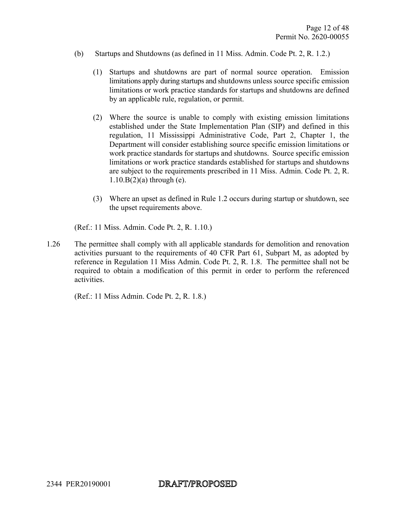- (b) Startups and Shutdowns (as defined in 11 Miss. Admin. Code Pt. 2, R. 1.2.)
	- (1) Startups and shutdowns are part of normal source operation. Emission limitations apply during startups and shutdowns unless source specific emission limitations or work practice standards for startups and shutdowns are defined by an applicable rule, regulation, or permit.
	- (2) Where the source is unable to comply with existing emission limitations established under the State Implementation Plan (SIP) and defined in this regulation, 11 Mississippi Administrative Code, Part 2, Chapter 1, the Department will consider establishing source specific emission limitations or work practice standards for startups and shutdowns. Source specific emission limitations or work practice standards established for startups and shutdowns are subject to the requirements prescribed in 11 Miss. Admin. Code Pt. 2, R.  $1.10.B(2)(a)$  through (e).
	- (3) Where an upset as defined in Rule 1.2 occurs during startup or shutdown, see the upset requirements above.

(Ref.: 11 Miss. Admin. Code Pt. 2, R. 1.10.)

1.26 The permittee shall comply with all applicable standards for demolition and renovation activities pursuant to the requirements of 40 CFR Part 61, Subpart M, as adopted by reference in Regulation 11 Miss Admin. Code Pt. 2, R. 1.8. The permittee shall not be required to obtain a modification of this permit in order to perform the referenced activities.

(Ref.: 11 Miss Admin. Code Pt. 2, R. 1.8.)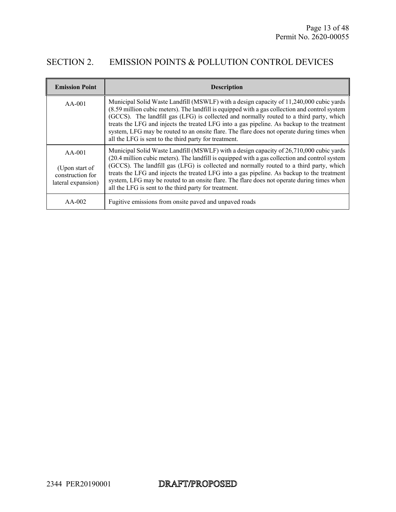### SECTION 2. EMISSION POINTS & POLLUTION CONTROL DEVICES

| <b>Emission Point</b>                                                | <b>Description</b>                                                                                                                                                                                                                                                                                                                                                                                                                                                                                                                        |
|----------------------------------------------------------------------|-------------------------------------------------------------------------------------------------------------------------------------------------------------------------------------------------------------------------------------------------------------------------------------------------------------------------------------------------------------------------------------------------------------------------------------------------------------------------------------------------------------------------------------------|
| $AA-001$                                                             | Municipal Solid Waste Landfill (MSWLF) with a design capacity of 11,240,000 cubic yards<br>(8.59 million cubic meters). The landfill is equipped with a gas collection and control system<br>(GCCS). The landfill gas (LFG) is collected and normally routed to a third party, which<br>treats the LFG and injects the treated LFG into a gas pipeline. As backup to the treatment<br>system, LFG may be routed to an onsite flare. The flare does not operate during times when<br>all the LFG is sent to the third party for treatment. |
| $AA-001$<br>(Upon start of<br>construction for<br>lateral expansion) | Municipal Solid Waste Landfill (MSWLF) with a design capacity of 26,710,000 cubic yards<br>(20.4 million cubic meters). The landfill is equipped with a gas collection and control system<br>(GCCS). The landfill gas (LFG) is collected and normally routed to a third party, which<br>treats the LFG and injects the treated LFG into a gas pipeline. As backup to the treatment<br>system, LFG may be routed to an onsite flare. The flare does not operate during times when<br>all the LFG is sent to the third party for treatment. |
| $AA-002$                                                             | Fugitive emissions from onsite paved and unpaved roads                                                                                                                                                                                                                                                                                                                                                                                                                                                                                    |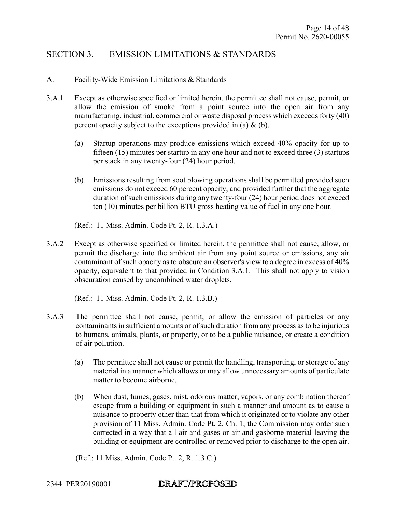#### SECTION 3. EMISSION LIMITATIONS & STANDARDS

#### A. Facility-Wide Emission Limitations & Standards

- 3.A.1 Except as otherwise specified or limited herein, the permittee shall not cause, permit, or allow the emission of smoke from a point source into the open air from any manufacturing, industrial, commercial or waste disposal process which exceeds forty (40) percent opacity subject to the exceptions provided in (a)  $\&$  (b).
	- (a) Startup operations may produce emissions which exceed 40% opacity for up to fifteen (15) minutes per startup in any one hour and not to exceed three (3) startups per stack in any twenty-four (24) hour period.
	- (b) Emissions resulting from soot blowing operations shall be permitted provided such emissions do not exceed 60 percent opacity, and provided further that the aggregate duration of such emissions during any twenty-four (24) hour period does not exceed ten (10) minutes per billion BTU gross heating value of fuel in any one hour.

(Ref.: 11 Miss. Admin. Code Pt. 2, R. 1.3.A.)

3.A.2 Except as otherwise specified or limited herein, the permittee shall not cause, allow, or permit the discharge into the ambient air from any point source or emissions, any air contaminant of such opacity as to obscure an observer's view to a degree in excess of 40% opacity, equivalent to that provided in Condition 3.A.1. This shall not apply to vision obscuration caused by uncombined water droplets.

(Ref.: 11 Miss. Admin. Code Pt. 2, R. 1.3.B.)

- 3.A.3 The permittee shall not cause, permit, or allow the emission of particles or any contaminants in sufficient amounts or of such duration from any process as to be injurious to humans, animals, plants, or property, or to be a public nuisance, or create a condition of air pollution.
	- (a) The permittee shall not cause or permit the handling, transporting, or storage of any material in a manner which allows or may allow unnecessary amounts of particulate matter to become airborne.
	- (b) When dust, fumes, gases, mist, odorous matter, vapors, or any combination thereof escape from a building or equipment in such a manner and amount as to cause a nuisance to property other than that from which it originated or to violate any other provision of 11 Miss. Admin. Code Pt. 2, Ch. 1, the Commission may order such corrected in a way that all air and gases or air and gasborne material leaving the building or equipment are controlled or removed prior to discharge to the open air.

(Ref.: 11 Miss. Admin. Code Pt. 2, R. 1.3.C.)

#### DRAFT/PROPOSED 2344 PER20190001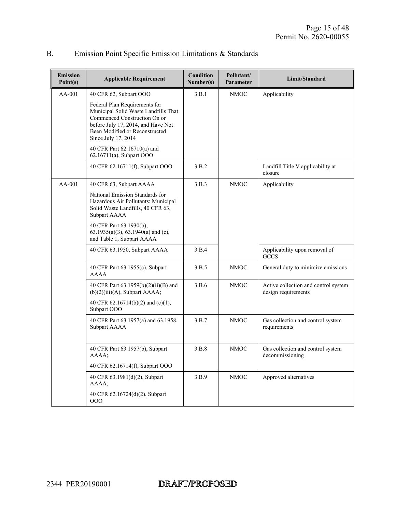| <b>Emission</b><br>Point(s) | <b>Applicable Requirement</b>                                                                                                                                                                        | <b>Condition</b><br>Number(s) | Pollutant/<br>Parameter | Limit/Standard                                              |
|-----------------------------|------------------------------------------------------------------------------------------------------------------------------------------------------------------------------------------------------|-------------------------------|-------------------------|-------------------------------------------------------------|
| AA-001                      | 40 CFR 62, Subpart OOO                                                                                                                                                                               | 3.B.1                         | <b>NMOC</b>             | Applicability                                               |
|                             | Federal Plan Requirements for<br>Municipal Solid Waste Landfills That<br>Commenced Construction On or<br>before July 17, 2014, and Have Not<br>Been Modified or Reconstructed<br>Since July 17, 2014 |                               |                         |                                                             |
|                             | 40 CFR Part 62.16710(a) and<br>62.16711(a), Subpart OOO                                                                                                                                              |                               |                         |                                                             |
|                             | 40 CFR 62.16711(f), Subpart OOO                                                                                                                                                                      | 3.B.2                         |                         | Landfill Title V applicability at<br>closure                |
| $AA-001$                    | 40 CFR 63, Subpart AAAA                                                                                                                                                                              | 3.B.3                         | <b>NMOC</b>             | Applicability                                               |
|                             | National Emission Standards for<br>Hazardous Air Pollutants: Municipal<br>Solid Waste Landfills, 40 CFR 63,<br>Subpart AAAA                                                                          |                               |                         |                                                             |
|                             | 40 CFR Part 63.1930(b),<br>$63.1935(a)(3)$ , $63.1940(a)$ and (c),<br>and Table 1, Subpart AAAA                                                                                                      |                               |                         |                                                             |
|                             | 40 CFR 63.1950, Subpart AAAA                                                                                                                                                                         | 3.B.4                         |                         | Applicability upon removal of<br><b>GCCS</b>                |
|                             | 40 CFR Part 63.1955(c), Subpart<br><b>AAAA</b>                                                                                                                                                       | 3.B.5                         | <b>NMOC</b>             | General duty to minimize emissions                          |
|                             | 40 CFR Part 63.1959(b)(2)(ii)(B) and<br>$(b)(2)(iii)(A)$ , Subpart AAAA;                                                                                                                             | 3.B.6                         | <b>NMOC</b>             | Active collection and control system<br>design requirements |
|                             | 40 CFR 62.16714(b)(2) and (c)(1),<br>Subpart OOO                                                                                                                                                     |                               |                         |                                                             |
|                             | 40 CFR Part 63.1957(a) and 63.1958,<br>Subpart AAAA                                                                                                                                                  | 3.B.7                         | <b>NMOC</b>             | Gas collection and control system<br>requirements           |
|                             | 40 CFR Part 63.1957(b), Subpart<br>AAAA;                                                                                                                                                             | 3.B.8                         | <b>NMOC</b>             | Gas collection and control system<br>decommissioning        |
|                             | 40 CFR 62.16714(f), Subpart OOO                                                                                                                                                                      |                               |                         |                                                             |
|                             | 40 CFR 63.1981(d)(2), Subpart<br>AAAA;                                                                                                                                                               | 3.B.9                         | $\rm NMOC$              | Approved alternatives                                       |
|                             | 40 CFR 62.16724(d)(2), Subpart<br>000                                                                                                                                                                |                               |                         |                                                             |

## B. Emission Point Specific Emission Limitations & Standards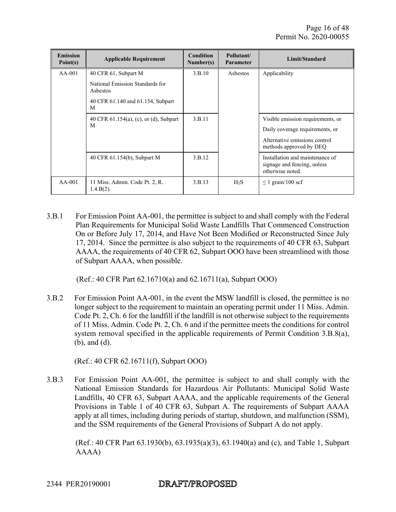| <b>Emission</b><br>Point(s) | <b>Applicable Requirement</b>                  | <b>Condition</b><br>Number(s) | Pollutant/<br><b>Parameter</b> | Limit/Standard                                                                     |
|-----------------------------|------------------------------------------------|-------------------------------|--------------------------------|------------------------------------------------------------------------------------|
| $AA-001$                    | 40 CFR 61, Subpart M                           | 3.B.10                        | Asbestos                       | Applicability                                                                      |
|                             | National Emission Standards for<br>Asbestos    |                               |                                |                                                                                    |
|                             | 40 CFR 61.140 and 61.154, Subpart<br>M         |                               |                                |                                                                                    |
|                             | 40 CFR $61.154(a)$ , (c), or (d), Subpart<br>M | 3.B.11                        |                                | Visible emission requirements, or                                                  |
|                             |                                                |                               |                                | Daily coverage requirements, or                                                    |
|                             |                                                |                               |                                | Alternative emissions control<br>methods approved by DEQ                           |
|                             | 40 CFR 61.154(b), Subpart M                    | 3.B.12                        |                                | Installation and maintenance of<br>signage and fencing, unless<br>otherwise noted. |
| $AA-001$                    | 11 Miss. Admin. Code Pt. 2, R.<br>$1.4.B(2)$ . | 3.B.13                        | H <sub>2</sub> S               | $\leq$ 1 grain/100 scf                                                             |

3.B.1 For Emission Point AA-001, the permittee is subject to and shall comply with the Federal Plan Requirements for Municipal Solid Waste Landfills That Commenced Construction On or Before July 17, 2014, and Have Not Been Modified or Reconstructed Since July 17, 2014. Since the permittee is also subject to the requirements of 40 CFR 63, Subpart AAAA, the requirements of 40 CFR 62, Subpart OOO have been streamlined with those of Subpart AAAA, when possible.

(Ref.: 40 CFR Part 62.16710(a) and 62.16711(a), Subpart OOO)

3.B.2 For Emission Point AA-001, in the event the MSW landfill is closed, the permittee is no longer subject to the requirement to maintain an operating permit under 11 Miss. Admin. Code Pt. 2, Ch. 6 for the landfill if the landfill is not otherwise subject to the requirements of 11 Miss. Admin. Code Pt. 2, Ch. 6 and if the permittee meets the conditions for control system removal specified in the applicable requirements of Permit Condition 3.B.8(a), (b), and (d).

(Ref.: 40 CFR 62.16711(f), Subpart OOO)

3.B.3 For Emission Point AA-001, the permittee is subject to and shall comply with the National Emission Standards for Hazardous Air Pollutants: Municipal Solid Waste Landfills, 40 CFR 63, Subpart AAAA, and the applicable requirements of the General Provisions in Table 1 of 40 CFR 63, Subpart A. The requirements of Subpart AAAA apply at all times, including during periods of startup, shutdown, and malfunction (SSM), and the SSM requirements of the General Provisions of Subpart A do not apply.

(Ref.: 40 CFR Part 63.1930(b), 63.1935(a)(3), 63.1940(a) and (c), and Table 1, Subpart AAAA)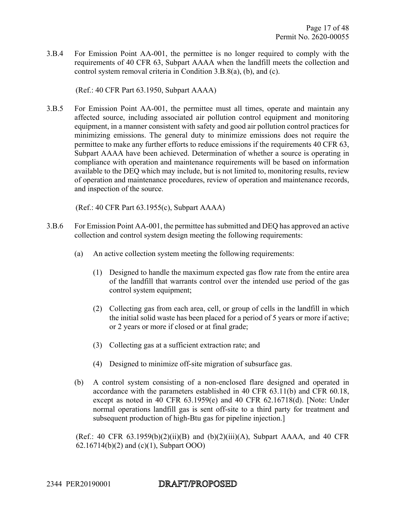3.B.4 For Emission Point AA-001, the permittee is no longer required to comply with the requirements of 40 CFR 63, Subpart AAAA when the landfill meets the collection and control system removal criteria in Condition 3.B.8(a), (b), and (c).

(Ref.: 40 CFR Part 63.1950, Subpart AAAA)

3.B.5 For Emission Point AA-001, the permittee must all times, operate and maintain any affected source, including associated air pollution control equipment and monitoring equipment, in a manner consistent with safety and good air pollution control practices for minimizing emissions. The general duty to minimize emissions does not require the permittee to make any further efforts to reduce emissions if the requirements 40 CFR 63, Subpart AAAA have been achieved. Determination of whether a source is operating in compliance with operation and maintenance requirements will be based on information available to the DEQ which may include, but is not limited to, monitoring results, review of operation and maintenance procedures, review of operation and maintenance records, and inspection of the source.

(Ref.: 40 CFR Part 63.1955(c), Subpart AAAA)

- 3.B.6 For Emission Point AA-001, the permittee has submitted and DEQ has approved an active collection and control system design meeting the following requirements:
	- (a) An active collection system meeting the following requirements:
		- (1) Designed to handle the maximum expected gas flow rate from the entire area of the landfill that warrants control over the intended use period of the gas control system equipment;
		- (2) Collecting gas from each area, cell, or group of cells in the landfill in which the initial solid waste has been placed for a period of 5 years or more if active; or 2 years or more if closed or at final grade;
		- (3) Collecting gas at a sufficient extraction rate; and
		- (4) Designed to minimize off-site migration of subsurface gas.
	- (b) A control system consisting of a non-enclosed flare designed and operated in accordance with the parameters established in 40 CFR 63.11(b) and CFR 60.18, except as noted in 40 CFR 63.1959(e) and 40 CFR 62.16718(d). [Note: Under normal operations landfill gas is sent off-site to a third party for treatment and subsequent production of high-Btu gas for pipeline injection.]

(Ref.: 40 CFR  $63.1959(b)(2)(ii)(B)$  and  $(b)(2)(iii)(A)$ , Subpart AAAA, and 40 CFR 62.16714(b)(2) and (c)(1), Subpart OOO)

#### DRAFT/PROPOSED 2344 PER20190001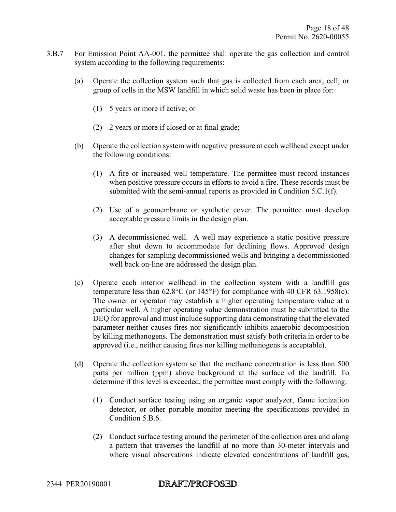- 3.B.7 For Emission Point AA-001, the permittee shall operate the gas collection and control system according to the following requirements:
	- (a) Operate the collection system such that gas is collected from each area, cell, or group of cells in the MSW landfill in which solid waste has been in place for:
		- (1) 5 years or more if active; or
		- (2) 2 years or more if closed or at final grade;
	- (b) Operate the collection system with negative pressure at each wellhead except under the following conditions:
		- (1) A fire or increased well temperature. The permittee must record instances when positive pressure occurs in efforts to avoid a fire. These records must be submitted with the semi-annual reports as provided in Condition 5.C.1(f).
		- (2) Use of a geomembrane or synthetic cover. The permittee must develop acceptable pressure limits in the design plan.
		- (3) A decommissioned well. A well may experience a static positive pressure after shut down to accommodate for declining flows. Approved design changes for sampling decommissioned wells and bringing a decommissioned well back on-line are addressed the design plan.
	- (c) Operate each interior wellhead in the collection system with a landfill gas temperature less than 62.8°C (or 145°F) for compliance with 40 CFR 63.1958(c). The owner or operator may establish a higher operating temperature value at a particular well. A higher operating value demonstration must be submitted to the DEQ for approval and must include supporting data demonstrating that the elevated parameter neither causes fires nor significantly inhibits anaerobic decomposition by killing methanogens. The demonstration must satisfy both criteria in order to be approved (i.e., neither causing fires nor killing methanogens is acceptable).
	- (d) Operate the collection system so that the methane concentration is less than 500 parts per million (ppm) above background at the surface of the landfill. To determine if this level is exceeded, the permittee must comply with the following:
		- (1) Conduct surface testing using an organic vapor analyzer, flame ionization detector, or other portable monitor meeting the specifications provided in Condition 5.B.6.
		- (2) Conduct surface testing around the perimeter of the collection area and along a pattern that traverses the landfill at no more than 30-meter intervals and where visual observations indicate elevated concentrations of landfill gas,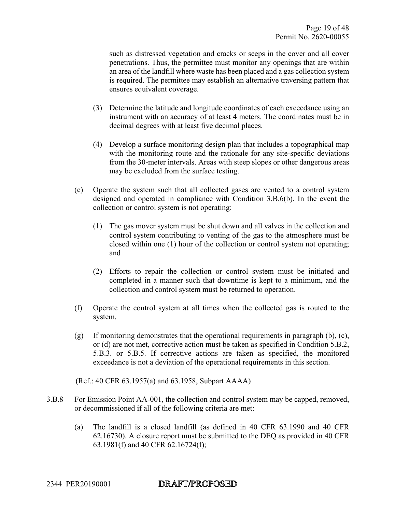such as distressed vegetation and cracks or seeps in the cover and all cover penetrations. Thus, the permittee must monitor any openings that are within an area of the landfill where waste has been placed and a gas collection system is required. The permittee may establish an alternative traversing pattern that ensures equivalent coverage.

- (3) Determine the latitude and longitude coordinates of each exceedance using an instrument with an accuracy of at least 4 meters. The coordinates must be in decimal degrees with at least five decimal places.
- (4) Develop a surface monitoring design plan that includes a topographical map with the monitoring route and the rationale for any site-specific deviations from the 30-meter intervals. Areas with steep slopes or other dangerous areas may be excluded from the surface testing.
- (e) Operate the system such that all collected gases are vented to a control system designed and operated in compliance with Condition 3.B.6(b). In the event the collection or control system is not operating:
	- (1) The gas mover system must be shut down and all valves in the collection and control system contributing to venting of the gas to the atmosphere must be closed within one (1) hour of the collection or control system not operating; and
	- (2) Efforts to repair the collection or control system must be initiated and completed in a manner such that downtime is kept to a minimum, and the collection and control system must be returned to operation.
- (f) Operate the control system at all times when the collected gas is routed to the system.
- (g) If monitoring demonstrates that the operational requirements in paragraph (b), (c), or (d) are not met, corrective action must be taken as specified in Condition 5.B.2, 5.B.3. or 5.B.5. If corrective actions are taken as specified, the monitored exceedance is not a deviation of the operational requirements in this section.

(Ref.: 40 CFR 63.1957(a) and 63.1958, Subpart AAAA)

- 3.B.8 For Emission Point AA-001, the collection and control system may be capped, removed, or decommissioned if all of the following criteria are met:
	- (a) The landfill is a closed landfill (as defined in 40 CFR 63.1990 and 40 CFR 62.16730). A closure report must be submitted to the DEQ as provided in 40 CFR 63.1981(f) and 40 CFR 62.16724(f);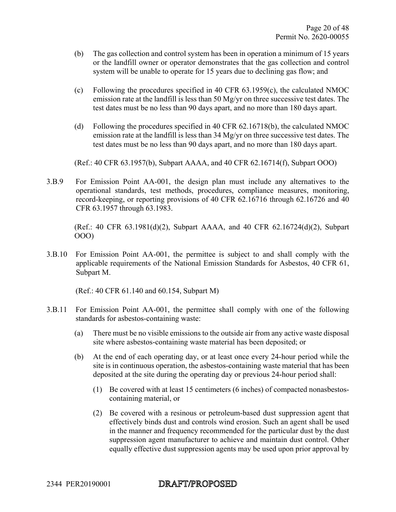- (b) The gas collection and control system has been in operation a minimum of 15 years or the landfill owner or operator demonstrates that the gas collection and control system will be unable to operate for 15 years due to declining gas flow; and
- (c) Following the procedures specified in 40 CFR 63.1959(c), the calculated NMOC emission rate at the landfill is less than 50 Mg/yr on three successive test dates. The test dates must be no less than 90 days apart, and no more than 180 days apart.
- (d) Following the procedures specified in 40 CFR 62.16718(b), the calculated NMOC emission rate at the landfill is less than 34 Mg/yr on three successive test dates. The test dates must be no less than 90 days apart, and no more than 180 days apart.

(Ref.: 40 CFR 63.1957(b), Subpart AAAA, and 40 CFR 62.16714(f), Subpart OOO)

3.B.9 For Emission Point AA-001, the design plan must include any alternatives to the operational standards, test methods, procedures, compliance measures, monitoring, record-keeping, or reporting provisions of 40 CFR 62.16716 through 62.16726 and 40 CFR 63.1957 through 63.1983.

(Ref.: 40 CFR 63.1981(d)(2), Subpart AAAA, and 40 CFR 62.16724(d)(2), Subpart OOO)

3.B.10 For Emission Point AA-001, the permittee is subject to and shall comply with the applicable requirements of the National Emission Standards for Asbestos, 40 CFR 61, Subpart M.

(Ref.: 40 CFR 61.140 and 60.154, Subpart M)

- 3.B.11 For Emission Point AA-001, the permittee shall comply with one of the following standards for asbestos-containing waste:
	- (a) There must be no visible emissions to the outside air from any active waste disposal site where asbestos-containing waste material has been deposited; or
	- (b) At the end of each operating day, or at least once every 24-hour period while the site is in continuous operation, the asbestos-containing waste material that has been deposited at the site during the operating day or previous 24-hour period shall:
		- (1) Be covered with at least 15 centimeters (6 inches) of compacted nonasbestoscontaining material, or
		- (2) Be covered with a resinous or petroleum-based dust suppression agent that effectively binds dust and controls wind erosion. Such an agent shall be used in the manner and frequency recommended for the particular dust by the dust suppression agent manufacturer to achieve and maintain dust control. Other equally effective dust suppression agents may be used upon prior approval by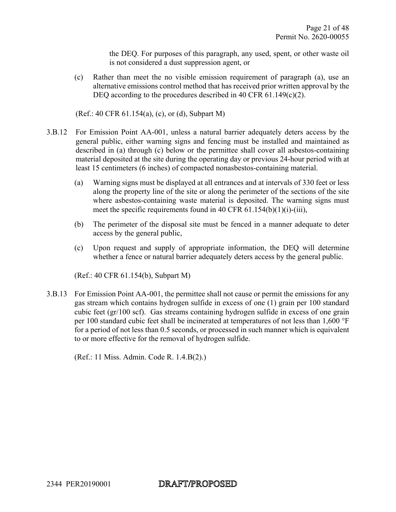the DEQ. For purposes of this paragraph, any used, spent, or other waste oil is not considered a dust suppression agent, or

(c) Rather than meet the no visible emission requirement of paragraph (a), use an alternative emissions control method that has received prior written approval by the DEQ according to the procedures described in 40 CFR 61.149(c)(2).

(Ref.: 40 CFR 61.154(a), (c), or (d), Subpart M)

- 3.B.12 For Emission Point AA-001, unless a natural barrier adequately deters access by the general public, either warning signs and fencing must be installed and maintained as described in (a) through (c) below or the permittee shall cover all asbestos-containing material deposited at the site during the operating day or previous 24-hour period with at least 15 centimeters (6 inches) of compacted nonasbestos-containing material.
	- (a) Warning signs must be displayed at all entrances and at intervals of 330 feet or less along the property line of the site or along the perimeter of the sections of the site where asbestos-containing waste material is deposited. The warning signs must meet the specific requirements found in 40 CFR  $61.154(b)(1)(i)-(iii)$ ,
	- (b) The perimeter of the disposal site must be fenced in a manner adequate to deter access by the general public,
	- (c) Upon request and supply of appropriate information, the DEQ will determine whether a fence or natural barrier adequately deters access by the general public.

(Ref.: 40 CFR 61.154(b), Subpart M)

3.B.13 For Emission Point AA-001, the permittee shall not cause or permit the emissions for any gas stream which contains hydrogen sulfide in excess of one (1) grain per 100 standard cubic feet (gr/100 scf). Gas streams containing hydrogen sulfide in excess of one grain per 100 standard cubic feet shall be incinerated at temperatures of not less than 1,600 °F for a period of not less than 0.5 seconds, or processed in such manner which is equivalent to or more effective for the removal of hydrogen sulfide.

(Ref.: 11 Miss. Admin. Code R. 1.4.B(2).)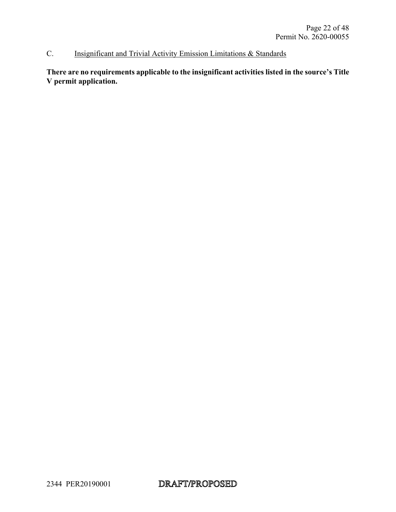#### C. Insignificant and Trivial Activity Emission Limitations & Standards

**There are no requirements applicable to the insignificant activities listed in the source's Title V permit application.**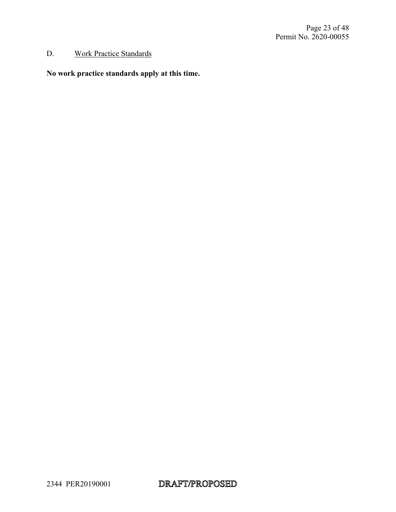#### D. Work Practice Standards

#### **No work practice standards apply at this time.**

2344 PER20190001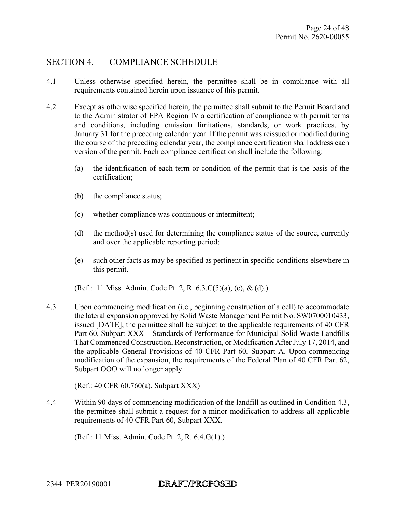#### SECTION 4. COMPLIANCE SCHEDULE

- 4.1 Unless otherwise specified herein, the permittee shall be in compliance with all requirements contained herein upon issuance of this permit.
- 4.2 Except as otherwise specified herein, the permittee shall submit to the Permit Board and to the Administrator of EPA Region IV a certification of compliance with permit terms and conditions, including emission limitations, standards, or work practices, by January 31 for the preceding calendar year. If the permit was reissued or modified during the course of the preceding calendar year, the compliance certification shall address each version of the permit. Each compliance certification shall include the following:
	- (a) the identification of each term or condition of the permit that is the basis of the certification;
	- (b) the compliance status;
	- (c) whether compliance was continuous or intermittent;
	- (d) the method(s) used for determining the compliance status of the source, currently and over the applicable reporting period;
	- (e) such other facts as may be specified as pertinent in specific conditions elsewhere in this permit.
	- (Ref.: 11 Miss. Admin. Code Pt. 2, R. 6.3.C(5)(a), (c), & (d).)
- 4.3 Upon commencing modification (i.e., beginning construction of a cell) to accommodate the lateral expansion approved by Solid Waste Management Permit No. SW0700010433, issued [DATE], the permittee shall be subject to the applicable requirements of 40 CFR Part 60, Subpart XXX – Standards of Performance for Municipal Solid Waste Landfills That Commenced Construction, Reconstruction, or Modification After July 17, 2014, and the applicable General Provisions of 40 CFR Part 60, Subpart A. Upon commencing modification of the expansion, the requirements of the Federal Plan of 40 CFR Part 62, Subpart OOO will no longer apply.

(Ref.: 40 CFR 60.760(a), Subpart XXX)

4.4 Within 90 days of commencing modification of the landfill as outlined in Condition 4.3, the permittee shall submit a request for a minor modification to address all applicable requirements of 40 CFR Part 60, Subpart XXX.

(Ref.: 11 Miss. Admin. Code Pt. 2, R. 6.4.G(1).)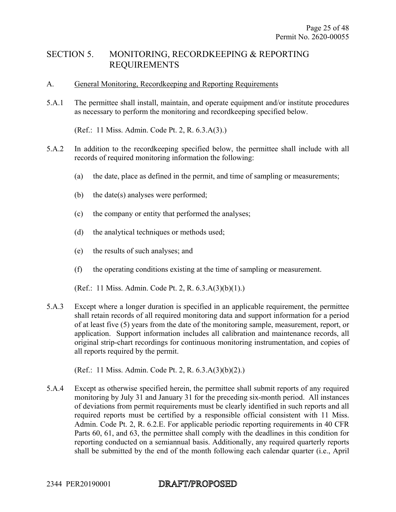#### SECTION 5. MONITORING, RECORDKEEPING & REPORTING REQUIREMENTS

- A. General Monitoring, Recordkeeping and Reporting Requirements
- 5.A.1 The permittee shall install, maintain, and operate equipment and/or institute procedures as necessary to perform the monitoring and recordkeeping specified below.

(Ref.: 11 Miss. Admin. Code Pt. 2, R. 6.3.A(3).)

- 5.A.2 In addition to the recordkeeping specified below, the permittee shall include with all records of required monitoring information the following:
	- (a) the date, place as defined in the permit, and time of sampling or measurements;
	- (b) the date(s) analyses were performed;
	- (c) the company or entity that performed the analyses;
	- (d) the analytical techniques or methods used;
	- (e) the results of such analyses; and
	- (f) the operating conditions existing at the time of sampling or measurement.

(Ref.: 11 Miss. Admin. Code Pt. 2, R. 6.3.A(3)(b)(1).)

5.A.3 Except where a longer duration is specified in an applicable requirement, the permittee shall retain records of all required monitoring data and support information for a period of at least five (5) years from the date of the monitoring sample, measurement, report, or application. Support information includes all calibration and maintenance records, all original strip-chart recordings for continuous monitoring instrumentation, and copies of all reports required by the permit.

(Ref.: 11 Miss. Admin. Code Pt. 2, R. 6.3.A(3)(b)(2).)

5.A.4 Except as otherwise specified herein, the permittee shall submit reports of any required monitoring by July 31 and January 31 for the preceding six-month period. All instances of deviations from permit requirements must be clearly identified in such reports and all required reports must be certified by a responsible official consistent with 11 Miss. Admin. Code Pt. 2, R. 6.2.E. For applicable periodic reporting requirements in 40 CFR Parts 60, 61, and 63, the permittee shall comply with the deadlines in this condition for reporting conducted on a semiannual basis. Additionally, any required quarterly reports shall be submitted by the end of the month following each calendar quarter (i.e., April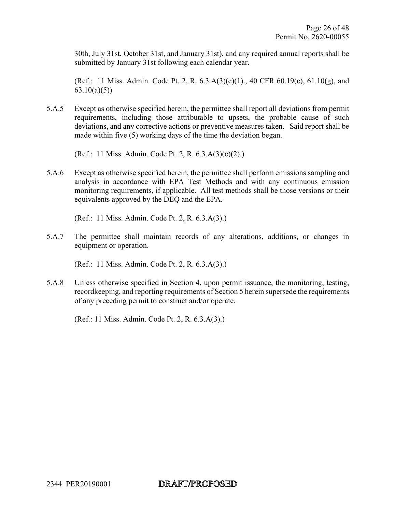30th, July 31st, October 31st, and January 31st), and any required annual reports shall be submitted by January 31st following each calendar year.

(Ref.: 11 Miss. Admin. Code Pt. 2, R. 6.3.A(3)(c)(1)., 40 CFR 60.19(c), 61.10(g), and  $63.10(a)(5)$ 

5.A.5 Except as otherwise specified herein, the permittee shall report all deviations from permit requirements, including those attributable to upsets, the probable cause of such deviations, and any corrective actions or preventive measures taken. Said report shall be made within five (5) working days of the time the deviation began.

(Ref.: 11 Miss. Admin. Code Pt. 2, R. 6.3.A(3)(c)(2).)

5.A.6 Except as otherwise specified herein, the permittee shall perform emissions sampling and analysis in accordance with EPA Test Methods and with any continuous emission monitoring requirements, if applicable. All test methods shall be those versions or their equivalents approved by the DEQ and the EPA.

(Ref.: 11 Miss. Admin. Code Pt. 2, R. 6.3.A(3).)

5.A.7 The permittee shall maintain records of any alterations, additions, or changes in equipment or operation.

(Ref.: 11 Miss. Admin. Code Pt. 2, R. 6.3.A(3).)

5.A.8 Unless otherwise specified in Section 4, upon permit issuance, the monitoring, testing, recordkeeping, and reporting requirements of Section 5 herein supersede the requirements of any preceding permit to construct and/or operate.

(Ref.: 11 Miss. Admin. Code Pt. 2, R. 6.3.A(3).)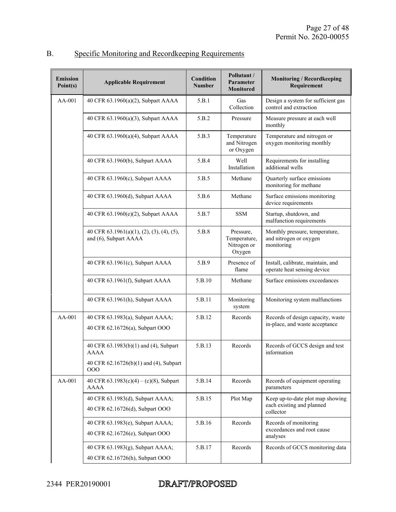| <b>Emission</b><br>Point(s) | <b>Applicable Requirement</b>                                                                         | Condition<br><b>Number</b> | Pollutant /<br>Parameter<br>Monitored              | <b>Monitoring / Recordkeeping</b><br>Requirement                           |
|-----------------------------|-------------------------------------------------------------------------------------------------------|----------------------------|----------------------------------------------------|----------------------------------------------------------------------------|
| $AA-001$                    | 40 CFR 63.1960(a)(2), Subpart AAAA                                                                    | 5.B.1                      | Gas<br>Collection                                  | Design a system for sufficient gas<br>control and extraction               |
|                             | 40 CFR 63.1960(a)(3), Subpart AAAA                                                                    | 5.B.2                      | Pressure                                           | Measure pressure at each well<br>monthly                                   |
|                             | 40 CFR 63.1960(a)(4), Subpart AAAA                                                                    | 5.B.3                      | Temperature<br>and Nitrogen<br>or Oxygen           | Temperature and nitrogen or<br>oxygen monitoring monthly                   |
|                             | 40 CFR 63.1960(b), Subpart AAAA                                                                       | 5.B.4                      | Well<br>Installation                               | Requirements for installing<br>additional wells                            |
|                             | 40 CFR 63.1960(c), Subpart AAAA                                                                       | 5.B.5                      | Methane                                            | Quarterly surface emissions<br>monitoring for methane                      |
|                             | 40 CFR 63.1960(d), Subpart AAAA                                                                       | 5.B.6                      | Methane                                            | Surface emissions monitoring<br>device requirements                        |
|                             | 40 CFR 63.1960(e)(2), Subpart AAAA                                                                    | 5.B.7                      | <b>SSM</b>                                         | Startup, shutdown, and<br>malfunction requirements                         |
|                             | 40 CFR 63.1961(a)(1), (2), (3), (4), (5),<br>and (6), Subpart AAAA                                    | 5.B.8                      | Pressure,<br>Temperature,<br>Nitrogen or<br>Oxygen | Monthly pressure, temperature,<br>and nitrogen or oxygen<br>monitoring     |
|                             | 40 CFR 63.1961(c), Subpart AAAA                                                                       | 5.B.9                      | Presence of<br>flame                               | Install, calibrate, maintain, and<br>operate heat sensing device           |
|                             | 40 CFR 63.1961(f), Subpart AAAA                                                                       | 5.B.10                     | Methane                                            | Surface emissions exceedances                                              |
|                             | 40 CFR 63.1961(h), Subpart AAAA                                                                       | 5.B.11                     | Monitoring<br>system                               | Monitoring system malfunctions                                             |
| $AA-001$                    | 40 CFR 63.1983(a), Subpart AAAA;<br>40 CFR 62.16726(a), Subpart OOO                                   | 5.B.12                     | Records                                            | Records of design capacity, waste<br>in-place, and waste acceptance        |
|                             | 40 CFR 63.1983(b)(1) and (4), Subpart<br><b>AAAA</b><br>40 CFR 62.16726(b)(1) and (4), Subpart<br>000 | 5.B.13                     | Records                                            | Records of GCCS design and test<br>information                             |
| AA-001                      | 40 CFR $63.1983(c)(4) - (c)(8)$ , Subpart<br><b>AAAA</b>                                              | 5.B.14                     | Records                                            | Records of equipment operating<br>parameters                               |
|                             | 40 CFR 63.1983(d), Subpart AAAA;<br>40 CFR 62.16726(d), Subpart OOO                                   | 5.B.15                     | Plot Map                                           | Keep up-to-date plot map showing<br>each existing and planned<br>collector |
|                             | 40 CFR 63.1983(e), Subpart AAAA;<br>40 CFR 62.16726(e), Subpart OOO                                   | 5.B.16                     | Records                                            | Records of monitoring<br>exceedances and root cause<br>analyses            |
|                             | 40 CFR 63.1983(g), Subpart AAAA;<br>40 CFR 62.16726(h), Subpart OOO                                   | 5.B.17                     | Records                                            | Records of GCCS monitoring data                                            |

# B. Specific Monitoring and Recordkeeping Requirements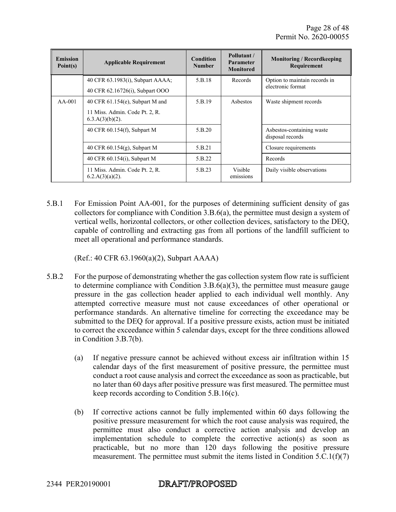| <b>Emission</b><br>Point(s) | <b>Applicable Requirement</b>                        | <b>Condition</b><br><b>Number</b> | Pollutant/<br><b>Parameter</b><br><b>Monitored</b> | <b>Monitoring / Record keeping</b><br>Requirement |
|-----------------------------|------------------------------------------------------|-----------------------------------|----------------------------------------------------|---------------------------------------------------|
|                             | 40 CFR 63.1983(i), Subpart AAAA;                     | 5.B.18                            | Records                                            | Option to maintain records in                     |
|                             | 40 CFR 62.16726(i), Subpart OOO                      |                                   |                                                    | electronic format                                 |
| $AA-001$                    | 40 CFR $61.154(e)$ , Subpart M and                   | 5.B.19                            | Asbestos                                           | Waste shipment records                            |
|                             | 11 Miss. Admin. Code Pt. 2, R.<br>$6.3.A(3)(b)(2)$ . |                                   |                                                    |                                                   |
|                             | 40 CFR 60.154(f), Subpart M                          | 5.B.20                            |                                                    | Asbestos-containing waste<br>disposal records     |
|                             | 40 CFR 60.154(g), Subpart M                          | 5.B.21                            |                                                    | Closure requirements                              |
|                             | 40 CFR 60.154(i), Subpart M                          | 5.B.22                            |                                                    | Records                                           |
|                             | 11 Miss. Admin. Code Pt. 2, R.<br>$6.2.A(3)(a)(2)$ . | 5.B.23                            | <b>Visible</b><br>emissions                        | Daily visible observations                        |

5.B.1 For Emission Point AA-001, for the purposes of determining sufficient density of gas collectors for compliance with Condition 3.B.6(a), the permittee must design a system of vertical wells, horizontal collectors, or other collection devices, satisfactory to the DEQ, capable of controlling and extracting gas from all portions of the landfill sufficient to meet all operational and performance standards.

(Ref.: 40 CFR 63.1960(a)(2), Subpart AAAA)

- 5.B.2 For the purpose of demonstrating whether the gas collection system flow rate is sufficient to determine compliance with Condition  $3.B.6(a)(3)$ , the permittee must measure gauge pressure in the gas collection header applied to each individual well monthly. Any attempted corrective measure must not cause exceedances of other operational or performance standards. An alternative timeline for correcting the exceedance may be submitted to the DEQ for approval. If a positive pressure exists, action must be initiated to correct the exceedance within 5 calendar days, except for the three conditions allowed in Condition 3.B.7(b).
	- (a) If negative pressure cannot be achieved without excess air infiltration within 15 calendar days of the first measurement of positive pressure, the permittee must conduct a root cause analysis and correct the exceedance as soon as practicable, but no later than 60 days after positive pressure was first measured. The permittee must keep records according to Condition  $5.B.16(c)$ .
	- (b) If corrective actions cannot be fully implemented within 60 days following the positive pressure measurement for which the root cause analysis was required, the permittee must also conduct a corrective action analysis and develop an implementation schedule to complete the corrective action(s) as soon as practicable, but no more than 120 days following the positive pressure measurement. The permittee must submit the items listed in Condition 5.C.1(f)(7)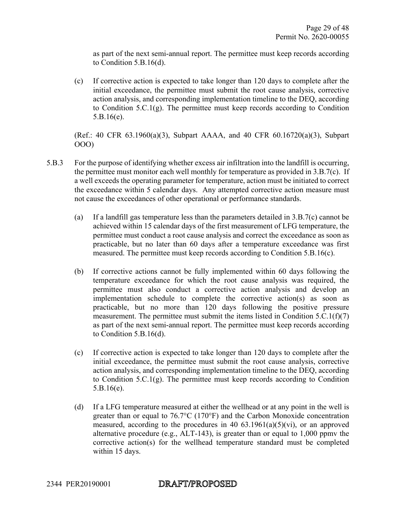as part of the next semi-annual report. The permittee must keep records according to Condition 5.B.16(d).

(c) If corrective action is expected to take longer than 120 days to complete after the initial exceedance, the permittee must submit the root cause analysis, corrective action analysis, and corresponding implementation timeline to the DEQ, according to Condition 5.C.1(g). The permittee must keep records according to Condition 5.B.16(e).

(Ref.: 40 CFR 63.1960(a)(3), Subpart AAAA, and 40 CFR 60.16720(a)(3), Subpart OOO)

- 5.B.3 For the purpose of identifying whether excess air infiltration into the landfill is occurring, the permittee must monitor each well monthly for temperature as provided in 3.B.7(c). If a well exceeds the operating parameter for temperature, action must be initiated to correct the exceedance within 5 calendar days. Any attempted corrective action measure must not cause the exceedances of other operational or performance standards.
	- (a) If a landfill gas temperature less than the parameters detailed in 3.B.7(c) cannot be achieved within 15 calendar days of the first measurement of LFG temperature, the permittee must conduct a root cause analysis and correct the exceedance as soon as practicable, but no later than 60 days after a temperature exceedance was first measured. The permittee must keep records according to Condition 5.B.16(c).
	- (b) If corrective actions cannot be fully implemented within 60 days following the temperature exceedance for which the root cause analysis was required, the permittee must also conduct a corrective action analysis and develop an implementation schedule to complete the corrective action(s) as soon as practicable, but no more than 120 days following the positive pressure measurement. The permittee must submit the items listed in Condition  $5.C.1(f)(7)$ as part of the next semi-annual report. The permittee must keep records according to Condition 5.B.16(d).
	- (c) If corrective action is expected to take longer than 120 days to complete after the initial exceedance, the permittee must submit the root cause analysis, corrective action analysis, and corresponding implementation timeline to the DEQ, according to Condition 5.C.1(g). The permittee must keep records according to Condition 5.B.16(e).
	- (d) If a LFG temperature measured at either the wellhead or at any point in the well is greater than or equal to 76.7°C (170°F) and the Carbon Monoxide concentration measured, according to the procedures in 40  $63.1961(a)(5)(vi)$ , or an approved alternative procedure (e.g., ALT-143), is greater than or equal to 1,000 ppmv the corrective action(s) for the wellhead temperature standard must be completed within 15 days.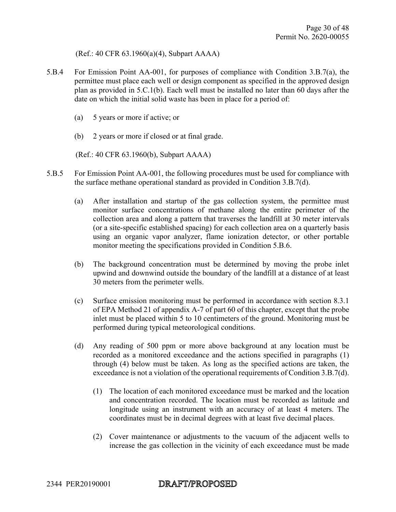(Ref.: 40 CFR 63.1960(a)(4), Subpart AAAA)

- 5.B.4 For Emission Point AA-001, for purposes of compliance with Condition 3.B.7(a), the permittee must place each well or design component as specified in the approved design plan as provided in 5.C.1(b). Each well must be installed no later than 60 days after the date on which the initial solid waste has been in place for a period of:
	- (a) 5 years or more if active; or
	- (b) 2 years or more if closed or at final grade.

(Ref.: 40 CFR 63.1960(b), Subpart AAAA)

- 5.B.5 For Emission Point AA-001, the following procedures must be used for compliance with the surface methane operational standard as provided in Condition 3.B.7(d).
	- (a) After installation and startup of the gas collection system, the permittee must monitor surface concentrations of methane along the entire perimeter of the collection area and along a pattern that traverses the landfill at 30 meter intervals (or a site-specific established spacing) for each collection area on a quarterly basis using an organic vapor analyzer, flame ionization detector, or other portable monitor meeting the specifications provided in Condition 5.B.6.
	- (b) The background concentration must be determined by moving the probe inlet upwind and downwind outside the boundary of the landfill at a distance of at least 30 meters from the perimeter wells.
	- (c) Surface emission monitoring must be performed in accordance with section 8.3.1 of EPA Method 21 of appendix A-7 of part 60 of this chapter, except that the probe inlet must be placed within 5 to 10 centimeters of the ground. Monitoring must be performed during typical meteorological conditions.
	- (d) Any reading of 500 ppm or more above background at any location must be recorded as a monitored exceedance and the actions specified in paragraphs (1) through (4) below must be taken. As long as the specified actions are taken, the exceedance is not a violation of the operational requirements of Condition 3.B.7(d).
		- (1) The location of each monitored exceedance must be marked and the location and concentration recorded. The location must be recorded as latitude and longitude using an instrument with an accuracy of at least 4 meters. The coordinates must be in decimal degrees with at least five decimal places.
		- (2) Cover maintenance or adjustments to the vacuum of the adjacent wells to increase the gas collection in the vicinity of each exceedance must be made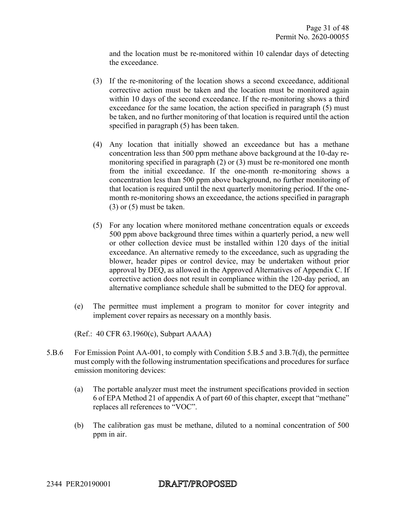and the location must be re-monitored within 10 calendar days of detecting the exceedance.

- (3) If the re-monitoring of the location shows a second exceedance, additional corrective action must be taken and the location must be monitored again within 10 days of the second exceedance. If the re-monitoring shows a third exceedance for the same location, the action specified in paragraph (5) must be taken, and no further monitoring of that location is required until the action specified in paragraph (5) has been taken.
- (4) Any location that initially showed an exceedance but has a methane concentration less than 500 ppm methane above background at the 10-day remonitoring specified in paragraph (2) or (3) must be re-monitored one month from the initial exceedance. If the one-month re-monitoring shows a concentration less than 500 ppm above background, no further monitoring of that location is required until the next quarterly monitoring period. If the onemonth re-monitoring shows an exceedance, the actions specified in paragraph (3) or (5) must be taken.
- (5) For any location where monitored methane concentration equals or exceeds 500 ppm above background three times within a quarterly period, a new well or other collection device must be installed within 120 days of the initial exceedance. An alternative remedy to the exceedance, such as upgrading the blower, header pipes or control device, may be undertaken without prior approval by DEQ, as allowed in the Approved Alternatives of Appendix C. If corrective action does not result in compliance within the 120-day period, an alternative compliance schedule shall be submitted to the DEQ for approval.
- (e) The permittee must implement a program to monitor for cover integrity and implement cover repairs as necessary on a monthly basis.

(Ref.: 40 CFR 63.1960(c), Subpart AAAA)

- 5.B.6 For Emission Point AA-001, to comply with Condition 5.B.5 and 3.B.7(d), the permittee must comply with the following instrumentation specifications and procedures for surface emission monitoring devices:
	- (a) The portable analyzer must meet the instrument specifications provided in section 6 of EPA Method 21 of appendix A of part 60 of this chapter, except that "methane" replaces all references to "VOC".
	- (b) The calibration gas must be methane, diluted to a nominal concentration of 500 ppm in air.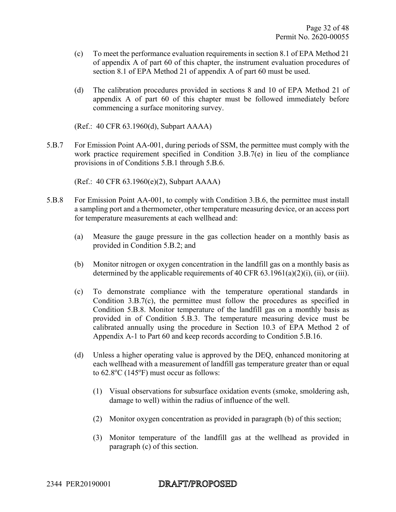- (c) To meet the performance evaluation requirements in section 8.1 of EPA Method 21 of appendix A of part 60 of this chapter, the instrument evaluation procedures of section 8.1 of EPA Method 21 of appendix A of part 60 must be used.
- (d) The calibration procedures provided in sections 8 and 10 of EPA Method 21 of appendix A of part 60 of this chapter must be followed immediately before commencing a surface monitoring survey.

(Ref.: 40 CFR 63.1960(d), Subpart AAAA)

5.B.7 For Emission Point AA-001, during periods of SSM, the permittee must comply with the work practice requirement specified in Condition 3.B.7(e) in lieu of the compliance provisions in of Conditions 5.B.1 through 5.B.6.

(Ref.: 40 CFR 63.1960(e)(2), Subpart AAAA)

- 5.B.8 For Emission Point AA-001, to comply with Condition 3.B.6, the permittee must install a sampling port and a thermometer, other temperature measuring device, or an access port for temperature measurements at each wellhead and:
	- (a) Measure the gauge pressure in the gas collection header on a monthly basis as provided in Condition 5.B.2; and
	- (b) Monitor nitrogen or oxygen concentration in the landfill gas on a monthly basis as determined by the applicable requirements of 40 CFR 63.1961(a)(2)(i), (ii), or (iii).
	- (c) To demonstrate compliance with the temperature operational standards in Condition 3.B.7(c), the permittee must follow the procedures as specified in Condition 5.B.8. Monitor temperature of the landfill gas on a monthly basis as provided in of Condition 5.B.3. The temperature measuring device must be calibrated annually using the procedure in Section 10.3 of EPA Method 2 of Appendix A-1 to Part 60 and keep records according to Condition 5.B.16.
	- (d) Unless a higher operating value is approved by the DEQ, enhanced monitoring at each wellhead with a measurement of landfill gas temperature greater than or equal to  $62.8$ <sup>o</sup>C  $(145$ <sup>o</sup>F) must occur as follows:
		- (1) Visual observations for subsurface oxidation events (smoke, smoldering ash, damage to well) within the radius of influence of the well.
		- (2) Monitor oxygen concentration as provided in paragraph (b) of this section;
		- (3) Monitor temperature of the landfill gas at the wellhead as provided in paragraph (c) of this section.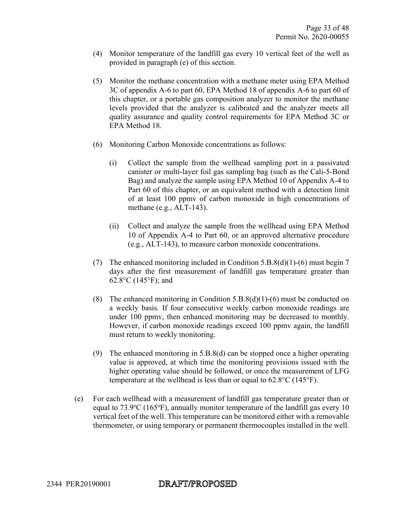- (4) Monitor temperature of the landfill gas every 10 vertical feet of the well as provided in paragraph (e) of this section.
- (5) Monitor the methane concentration with a methane meter using EPA Method 3C of appendix A-6 to part 60, EPA Method 18 of appendix A-6 to part 60 of this chapter, or a portable gas composition analyzer to monitor the methane levels provided that the analyzer is calibrated and the analyzer meets all quality assurance and quality control requirements for EPA Method 3C or EPA Method 18.
- (6) Monitoring Carbon Monoxide concentrations as follows:
	- (i) Collect the sample from the wellhead sampling port in a passivated canister or multi-layer foil gas sampling bag (such as the Cali-5-Bond Bag) and analyze the sample using EPA Method 10 of Appendix A-4 to Part 60 of this chapter, or an equivalent method with a detection limit of at least 100 ppmv of carbon monoxide in high concentrations of methane (e.g., ALT-143).
	- (ii) Collect and analyze the sample from the wellhead using EPA Method 10 of Appendix A-4 to Part 60, or an approved alternative procedure (e.g., ALT-143), to measure carbon monoxide concentrations.
- (7) The enhanced monitoring included in Condition 5.B.8(d)(1)-(6) must begin 7 days after the first measurement of landfill gas temperature greater than 62.8°C (145°F); and
- (8) The enhanced monitoring in Condition  $5.B.8(d)(1)-(6)$  must be conducted on a weekly basis. If four consecutive weekly carbon monoxide readings are under 100 ppmv, then enhanced monitoring may be decreased to monthly. However, if carbon monoxide readings exceed 100 ppmv again, the landfill must return to weekly monitoring.
- (9) The enhanced monitoring in 5.B.8(d) can be stopped once a higher operating value is approved, at which time the monitoring provisions issued with the higher operating value should be followed, or once the measurement of LFG temperature at the wellhead is less than or equal to  $62.8^{\circ}$ C (145 $^{\circ}$ F).
- (e) For each wellhead with a measurement of landfill gas temperature greater than or equal to  $73.9^{\circ}$ C (165 $^{\circ}$ F), annually monitor temperature of the landfill gas every 10 vertical feet of the well. This temperature can be monitored either with a removable thermometer, or using temporary or permanent thermocouples installed in the well.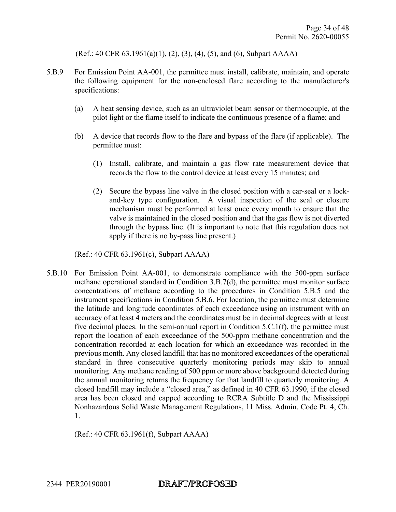(Ref.: 40 CFR 63.1961(a)(1), (2), (3), (4), (5), and (6), Subpart AAAA)

- 5.B.9 For Emission Point AA-001, the permittee must install, calibrate, maintain, and operate the following equipment for the non-enclosed flare according to the manufacturer's specifications:
	- (a) A heat sensing device, such as an ultraviolet beam sensor or thermocouple, at the pilot light or the flame itself to indicate the continuous presence of a flame; and
	- (b) A device that records flow to the flare and bypass of the flare (if applicable). The permittee must:
		- (1) Install, calibrate, and maintain a gas flow rate measurement device that records the flow to the control device at least every 15 minutes; and
		- (2) Secure the bypass line valve in the closed position with a car-seal or a lockand-key type configuration. A visual inspection of the seal or closure mechanism must be performed at least once every month to ensure that the valve is maintained in the closed position and that the gas flow is not diverted through the bypass line. (It is important to note that this regulation does not apply if there is no by-pass line present.)

(Ref.: 40 CFR 63.1961(c), Subpart AAAA)

5.B.10 For Emission Point AA-001, to demonstrate compliance with the 500-ppm surface methane operational standard in Condition 3.B.7(d), the permittee must monitor surface concentrations of methane according to the procedures in Condition 5.B.5 and the instrument specifications in Condition 5.B.6. For location, the permittee must determine the latitude and longitude coordinates of each exceedance using an instrument with an accuracy of at least 4 meters and the coordinates must be in decimal degrees with at least five decimal places. In the semi-annual report in Condition 5.C.1(f), the permittee must report the location of each exceedance of the 500-ppm methane concentration and the concentration recorded at each location for which an exceedance was recorded in the previous month. Any closed landfill that has no monitored exceedances of the operational standard in three consecutive quarterly monitoring periods may skip to annual monitoring. Any methane reading of 500 ppm or more above background detected during the annual monitoring returns the frequency for that landfill to quarterly monitoring. A closed landfill may include a "closed area," as defined in 40 CFR 63.1990, if the closed area has been closed and capped according to RCRA Subtitle D and the Mississippi Nonhazardous Solid Waste Management Regulations, 11 Miss. Admin. Code Pt. 4, Ch. 1.

(Ref.: 40 CFR 63.1961(f), Subpart AAAA)

2344 PER20190001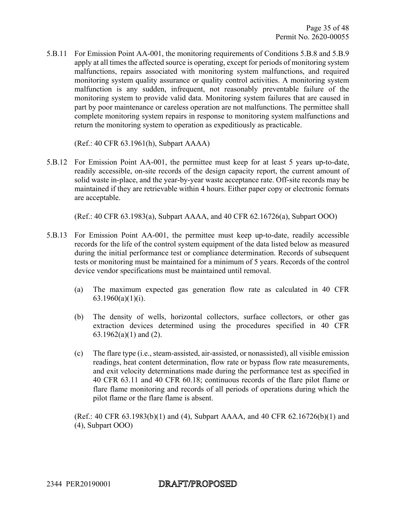5.B.11 For Emission Point AA-001, the monitoring requirements of Conditions 5.B.8 and 5.B.9 apply at all times the affected source is operating, except for periods of monitoring system malfunctions, repairs associated with monitoring system malfunctions, and required monitoring system quality assurance or quality control activities. A monitoring system malfunction is any sudden, infrequent, not reasonably preventable failure of the monitoring system to provide valid data. Monitoring system failures that are caused in part by poor maintenance or careless operation are not malfunctions. The permittee shall complete monitoring system repairs in response to monitoring system malfunctions and return the monitoring system to operation as expeditiously as practicable.

(Ref.: 40 CFR 63.1961(h), Subpart AAAA)

5.B.12 For Emission Point AA-001, the permittee must keep for at least 5 years up-to-date, readily accessible, on-site records of the design capacity report, the current amount of solid waste in-place, and the year-by-year waste acceptance rate. Off-site records may be maintained if they are retrievable within 4 hours. Either paper copy or electronic formats are acceptable.

(Ref.: 40 CFR 63.1983(a), Subpart AAAA, and 40 CFR 62.16726(a), Subpart OOO)

- 5.B.13 For Emission Point AA-001, the permittee must keep up-to-date, readily accessible records for the life of the control system equipment of the data listed below as measured during the initial performance test or compliance determination. Records of subsequent tests or monitoring must be maintained for a minimum of 5 years. Records of the control device vendor specifications must be maintained until removal.
	- (a) The maximum expected gas generation flow rate as calculated in 40 CFR 63.1960(a)(1)(i).
	- (b) The density of wells, horizontal collectors, surface collectors, or other gas extraction devices determined using the procedures specified in 40 CFR 63.1962(a)(1) and (2).
	- (c) The flare type (i.e., steam-assisted, air-assisted, or nonassisted), all visible emission readings, heat content determination, flow rate or bypass flow rate measurements, and exit velocity determinations made during the performance test as specified in 40 CFR 63.11 and 40 CFR 60.18; continuous records of the flare pilot flame or flare flame monitoring and records of all periods of operations during which the pilot flame or the flare flame is absent.

(Ref.: 40 CFR 63.1983(b)(1) and (4), Subpart AAAA, and 40 CFR 62.16726(b)(1) and (4), Subpart OOO)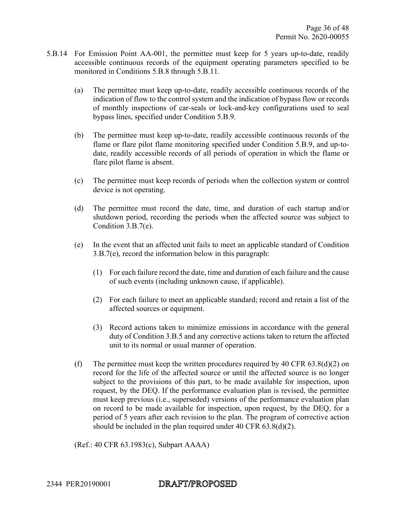- 5.B.14 For Emission Point AA-001, the permittee must keep for 5 years up-to-date, readily accessible continuous records of the equipment operating parameters specified to be monitored in Conditions 5.B.8 through 5.B.11.
	- (a) The permittee must keep up-to-date, readily accessible continuous records of the indication of flow to the control system and the indication of bypass flow or records of monthly inspections of car-seals or lock-and-key configurations used to seal bypass lines, specified under Condition 5.B.9.
	- (b) The permittee must keep up-to-date, readily accessible continuous records of the flame or flare pilot flame monitoring specified under Condition 5.B.9, and up-todate, readily accessible records of all periods of operation in which the flame or flare pilot flame is absent.
	- (c) The permittee must keep records of periods when the collection system or control device is not operating.
	- (d) The permittee must record the date, time, and duration of each startup and/or shutdown period, recording the periods when the affected source was subject to Condition 3.B.7(e).
	- (e) In the event that an affected unit fails to meet an applicable standard of Condition 3.B.7(e), record the information below in this paragraph:
		- (1) For each failure record the date, time and duration of each failure and the cause of such events (including unknown cause, if applicable).
		- (2) For each failure to meet an applicable standard; record and retain a list of the affected sources or equipment.
		- (3) Record actions taken to minimize emissions in accordance with the general duty of Condition 3.B.5 and any corrective actions taken to return the affected unit to its normal or usual manner of operation.
	- (f) The permittee must keep the written procedures required by 40 CFR  $(63.8(d)(2))$  on record for the life of the affected source or until the affected source is no longer subject to the provisions of this part, to be made available for inspection, upon request, by the DEQ. If the performance evaluation plan is revised, the permittee must keep previous (i.e., superseded) versions of the performance evaluation plan on record to be made available for inspection, upon request, by the DEQ, for a period of 5 years after each revision to the plan. The program of corrective action should be included in the plan required under 40 CFR 63.8(d)(2).

(Ref.: 40 CFR 63.1983(c), Subpart AAAA)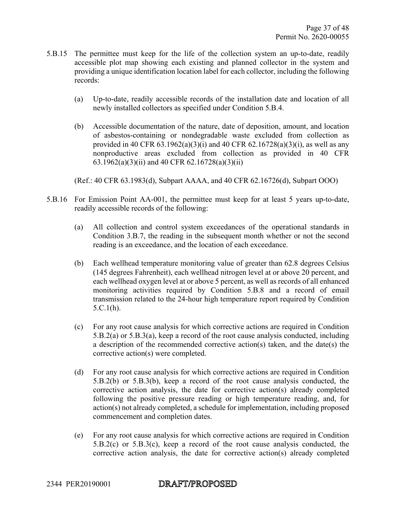- 5.B.15 The permittee must keep for the life of the collection system an up-to-date, readily accessible plot map showing each existing and planned collector in the system and providing a unique identification location label for each collector, including the following records:
	- (a) Up-to-date, readily accessible records of the installation date and location of all newly installed collectors as specified under Condition 5.B.4.
	- (b) Accessible documentation of the nature, date of deposition, amount, and location of asbestos-containing or nondegradable waste excluded from collection as provided in 40 CFR  $(63.1962(a)(3)(i)$  and 40 CFR  $(62.16728(a)(3)(i)$ , as well as any nonproductive areas excluded from collection as provided in 40 CFR 63.1962(a)(3)(ii) and 40 CFR 62.16728(a)(3)(ii)

(Ref.: 40 CFR 63.1983(d), Subpart AAAA, and 40 CFR 62.16726(d), Subpart OOO)

- 5.B.16 For Emission Point AA-001, the permittee must keep for at least 5 years up-to-date, readily accessible records of the following:
	- (a) All collection and control system exceedances of the operational standards in Condition 3.B.7, the reading in the subsequent month whether or not the second reading is an exceedance, and the location of each exceedance.
	- (b) Each wellhead temperature monitoring value of greater than 62.8 degrees Celsius (145 degrees Fahrenheit), each wellhead nitrogen level at or above 20 percent, and each wellhead oxygen level at or above 5 percent, as well as records of all enhanced monitoring activities required by Condition 5.B.8 and a record of email transmission related to the 24-hour high temperature report required by Condition 5.C.1(h).
	- (c) For any root cause analysis for which corrective actions are required in Condition 5.B.2(a) or 5.B.3(a), keep a record of the root cause analysis conducted, including a description of the recommended corrective action(s) taken, and the date(s) the corrective action(s) were completed.
	- (d) For any root cause analysis for which corrective actions are required in Condition 5.B.2(b) or 5.B.3(b), keep a record of the root cause analysis conducted, the corrective action analysis, the date for corrective action(s) already completed following the positive pressure reading or high temperature reading, and, for action(s) not already completed, a schedule for implementation, including proposed commencement and completion dates.
	- (e) For any root cause analysis for which corrective actions are required in Condition 5.B.2(c) or 5.B.3(c), keep a record of the root cause analysis conducted, the corrective action analysis, the date for corrective action(s) already completed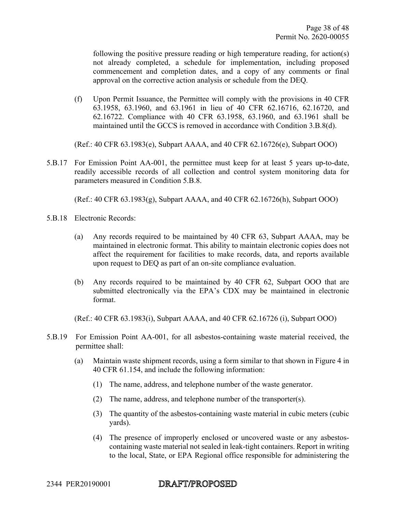following the positive pressure reading or high temperature reading, for action(s) not already completed, a schedule for implementation, including proposed commencement and completion dates, and a copy of any comments or final approval on the corrective action analysis or schedule from the DEQ.

(f) Upon Permit Issuance, the Permittee will comply with the provisions in 40 CFR 63.1958, 63.1960, and 63.1961 in lieu of 40 CFR 62.16716, 62.16720, and 62.16722. Compliance with 40 CFR 63.1958, 63.1960, and 63.1961 shall be maintained until the GCCS is removed in accordance with Condition 3.B.8(d).

(Ref.: 40 CFR 63.1983(e), Subpart AAAA, and 40 CFR 62.16726(e), Subpart OOO)

5.B.17 For Emission Point AA-001, the permittee must keep for at least 5 years up-to-date, readily accessible records of all collection and control system monitoring data for parameters measured in Condition 5.B.8.

(Ref.: 40 CFR 63.1983(g), Subpart AAAA, and 40 CFR 62.16726(h), Subpart OOO)

- 5.B.18 Electronic Records:
	- (a) Any records required to be maintained by 40 CFR 63, Subpart AAAA, may be maintained in electronic format. This ability to maintain electronic copies does not affect the requirement for facilities to make records, data, and reports available upon request to DEQ as part of an on-site compliance evaluation.
	- (b) Any records required to be maintained by 40 CFR 62, Subpart OOO that are submitted electronically via the EPA's CDX may be maintained in electronic format.

(Ref.: 40 CFR 63.1983(i), Subpart AAAA, and 40 CFR 62.16726 (i), Subpart OOO)

- 5.B.19 For Emission Point AA-001, for all asbestos-containing waste material received, the permittee shall:
	- (a) Maintain waste shipment records, using a form similar to that shown in Figure 4 in 40 CFR 61.154, and include the following information:
		- (1) The name, address, and telephone number of the waste generator.
		- (2) The name, address, and telephone number of the transporter(s).
		- (3) The quantity of the asbestos-containing waste material in cubic meters (cubic yards).
		- (4) The presence of improperly enclosed or uncovered waste or any asbestoscontaining waste material not sealed in leak-tight containers. Report in writing to the local, State, or EPA Regional office responsible for administering the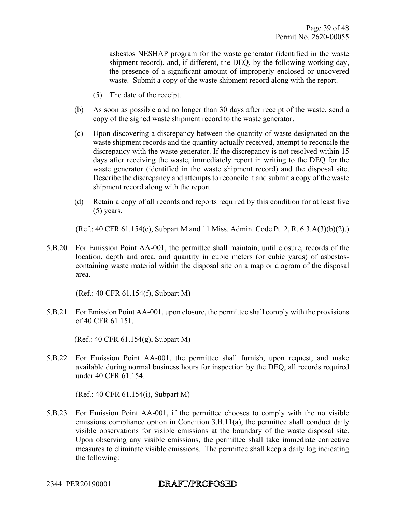asbestos NESHAP program for the waste generator (identified in the waste shipment record), and, if different, the DEQ, by the following working day, the presence of a significant amount of improperly enclosed or uncovered waste. Submit a copy of the waste shipment record along with the report.

- (5) The date of the receipt.
- (b) As soon as possible and no longer than 30 days after receipt of the waste, send a copy of the signed waste shipment record to the waste generator.
- (c) Upon discovering a discrepancy between the quantity of waste designated on the waste shipment records and the quantity actually received, attempt to reconcile the discrepancy with the waste generator. If the discrepancy is not resolved within 15 days after receiving the waste, immediately report in writing to the DEQ for the waste generator (identified in the waste shipment record) and the disposal site. Describe the discrepancy and attempts to reconcile it and submit a copy of the waste shipment record along with the report.
- (d) Retain a copy of all records and reports required by this condition for at least five (5) years.

(Ref.: 40 CFR 61.154(e), Subpart M and 11 Miss. Admin. Code Pt. 2, R. 6.3.A(3)(b)(2).)

5.B.20 For Emission Point AA-001, the permittee shall maintain, until closure, records of the location, depth and area, and quantity in cubic meters (or cubic yards) of asbestoscontaining waste material within the disposal site on a map or diagram of the disposal area.

(Ref.: 40 CFR 61.154(f), Subpart M)

5.B.21 For Emission Point AA-001, upon closure, the permittee shall comply with the provisions of 40 CFR 61.151.

(Ref.: 40 CFR 61.154(g), Subpart M)

5.B.22 For Emission Point AA-001, the permittee shall furnish, upon request, and make available during normal business hours for inspection by the DEQ, all records required under 40 CFR 61.154.

(Ref.: 40 CFR 61.154(i), Subpart M)

5.B.23 For Emission Point AA-001, if the permittee chooses to comply with the no visible emissions compliance option in Condition 3.B.11(a), the permittee shall conduct daily visible observations for visible emissions at the boundary of the waste disposal site. Upon observing any visible emissions, the permittee shall take immediate corrective measures to eliminate visible emissions. The permittee shall keep a daily log indicating the following: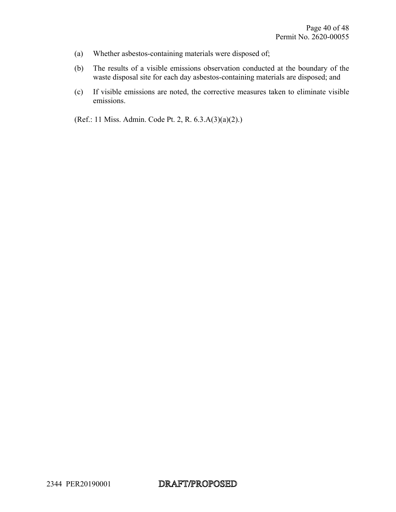- (a) Whether asbestos-containing materials were disposed of;
- (b) The results of a visible emissions observation conducted at the boundary of the waste disposal site for each day asbestos-containing materials are disposed; and
- (c) If visible emissions are noted, the corrective measures taken to eliminate visible emissions.

(Ref.: 11 Miss. Admin. Code Pt. 2, R. 6.3.A(3)(a)(2).)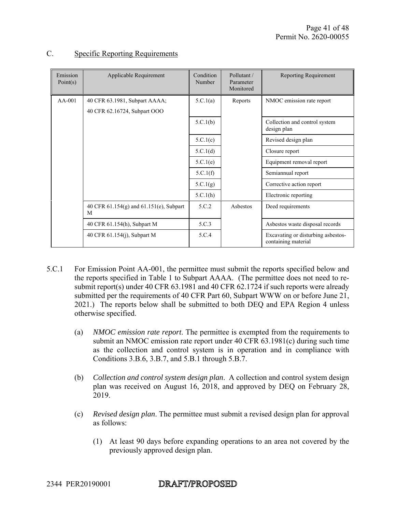| Emission<br>Point(s) | Applicable Requirement                            | Condition<br>Number | Pollutant/<br>Parameter<br>Monitored | Reporting Requirement                                     |
|----------------------|---------------------------------------------------|---------------------|--------------------------------------|-----------------------------------------------------------|
| $AA-001$             | 40 CFR 63.1981, Subpart AAAA;                     | 5.C.1(a)            | Reports                              | NMOC emission rate report                                 |
|                      | 40 CFR 62.16724, Subpart OOO                      |                     |                                      |                                                           |
|                      |                                                   | 5.C.1(b)            |                                      | Collection and control system<br>design plan              |
|                      |                                                   | 5.C.1(c)            |                                      | Revised design plan                                       |
|                      |                                                   | 5.C.1(d)            |                                      | Closure report                                            |
|                      |                                                   | 5.C.1(e)            |                                      | Equipment removal report                                  |
|                      |                                                   | 5.C.1(f)            |                                      | Semiannual report                                         |
|                      |                                                   | 5.C.1(g)            |                                      | Corrective action report                                  |
|                      |                                                   | 5.C.1(h)            |                                      | Electronic reporting                                      |
|                      | 40 CFR $61.154(g)$ and $61.151(e)$ , Subpart<br>M | 5.C.2               | Ashestos                             | Deed requirements                                         |
|                      | 40 CFR 61.154(h), Subpart M                       | 5.C.3               |                                      | Asbestos waste disposal records                           |
|                      | 40 CFR 61.154(j), Subpart M                       | 5.C.4               |                                      | Excavating or disturbing asbestos-<br>containing material |

#### C. Specific Reporting Requirements

- 5.C.1 For Emission Point AA-001, the permittee must submit the reports specified below and the reports specified in Table 1 to Subpart AAAA. (The permittee does not need to resubmit report(s) under 40 CFR 63.1981 and 40 CFR 62.1724 if such reports were already submitted per the requirements of 40 CFR Part 60, Subpart WWW on or before June 21, 2021.) The reports below shall be submitted to both DEQ and EPA Region 4 unless otherwise specified.
	- (a) *NMOC emission rate report*. The permittee is exempted from the requirements to submit an NMOC emission rate report under 40 CFR 63.1981(c) during such time as the collection and control system is in operation and in compliance with Conditions 3.B.6, 3.B.7, and 5.B.1 through 5.B.7.
	- (b) *Collection and control system design plan*. A collection and control system design plan was received on August 16, 2018, and approved by DEQ on February 28, 2019.
	- (c) *Revised design plan*. The permittee must submit a revised design plan for approval as follows:
		- (1) At least 90 days before expanding operations to an area not covered by the previously approved design plan.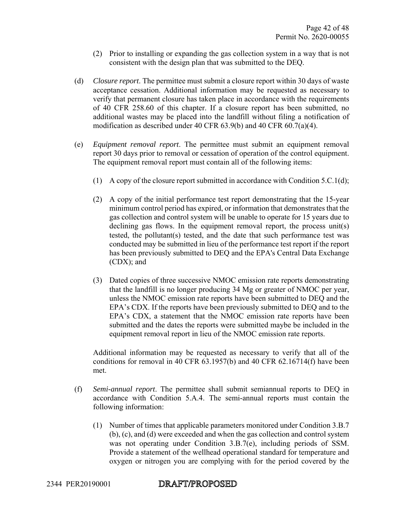- (2) Prior to installing or expanding the gas collection system in a way that is not consistent with the design plan that was submitted to the DEQ.
- (d) *Closure report*. The permittee must submit a closure report within 30 days of waste acceptance cessation. Additional information may be requested as necessary to verify that permanent closure has taken place in accordance with the requirements of 40 CFR 258.60 of this chapter. If a closure report has been submitted, no additional wastes may be placed into the landfill without filing a notification of modification as described under 40 CFR 63.9(b) and 40 CFR 60.7(a)(4).
- (e) *Equipment removal report*. The permittee must submit an equipment removal report 30 days prior to removal or cessation of operation of the control equipment. The equipment removal report must contain all of the following items:
	- (1) A copy of the closure report submitted in accordance with Condition 5.C.1(d);
	- (2) A copy of the initial performance test report demonstrating that the 15-year minimum control period has expired, or information that demonstrates that the gas collection and control system will be unable to operate for 15 years due to declining gas flows. In the equipment removal report, the process unit(s) tested, the pollutant(s) tested, and the date that such performance test was conducted may be submitted in lieu of the performance test report if the report has been previously submitted to DEQ and the EPA's Central Data Exchange (CDX); and
	- (3) Dated copies of three successive NMOC emission rate reports demonstrating that the landfill is no longer producing 34 Mg or greater of NMOC per year, unless the NMOC emission rate reports have been submitted to DEQ and the EPA's CDX. If the reports have been previously submitted to DEQ and to the EPA's CDX, a statement that the NMOC emission rate reports have been submitted and the dates the reports were submitted maybe be included in the equipment removal report in lieu of the NMOC emission rate reports.

Additional information may be requested as necessary to verify that all of the conditions for removal in 40 CFR 63.1957(b) and 40 CFR 62.16714(f) have been met.

- (f) *Semi-annual report*. The permittee shall submit semiannual reports to DEQ in accordance with Condition 5.A.4. The semi-annual reports must contain the following information:
	- (1) Number of times that applicable parameters monitored under Condition 3.B.7 (b), (c), and (d) were exceeded and when the gas collection and control system was not operating under Condition 3.B.7(e), including periods of SSM. Provide a statement of the wellhead operational standard for temperature and oxygen or nitrogen you are complying with for the period covered by the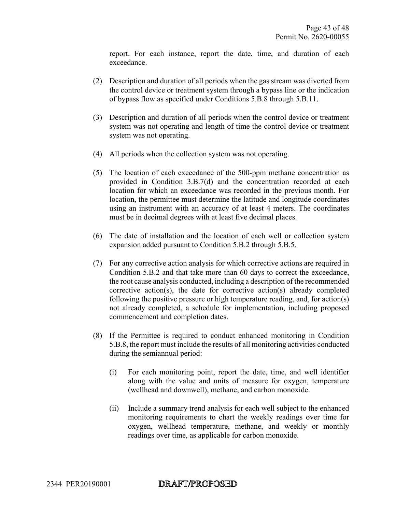report. For each instance, report the date, time, and duration of each exceedance.

- (2) Description and duration of all periods when the gas stream was diverted from the control device or treatment system through a bypass line or the indication of bypass flow as specified under Conditions 5.B.8 through 5.B.11.
- (3) Description and duration of all periods when the control device or treatment system was not operating and length of time the control device or treatment system was not operating.
- (4) All periods when the collection system was not operating.
- (5) The location of each exceedance of the 500-ppm methane concentration as provided in Condition 3.B.7(d) and the concentration recorded at each location for which an exceedance was recorded in the previous month. For location, the permittee must determine the latitude and longitude coordinates using an instrument with an accuracy of at least 4 meters. The coordinates must be in decimal degrees with at least five decimal places.
- (6) The date of installation and the location of each well or collection system expansion added pursuant to Condition 5.B.2 through 5.B.5.
- (7) For any corrective action analysis for which corrective actions are required in Condition 5.B.2 and that take more than 60 days to correct the exceedance, the root cause analysis conducted, including a description of the recommended corrective action(s), the date for corrective action(s) already completed following the positive pressure or high temperature reading, and, for action(s) not already completed, a schedule for implementation, including proposed commencement and completion dates.
- (8) If the Permittee is required to conduct enhanced monitoring in Condition 5.B.8, the report must include the results of all monitoring activities conducted during the semiannual period:
	- (i) For each monitoring point, report the date, time, and well identifier along with the value and units of measure for oxygen, temperature (wellhead and downwell), methane, and carbon monoxide.
	- (ii) Include a summary trend analysis for each well subject to the enhanced monitoring requirements to chart the weekly readings over time for oxygen, wellhead temperature, methane, and weekly or monthly readings over time, as applicable for carbon monoxide.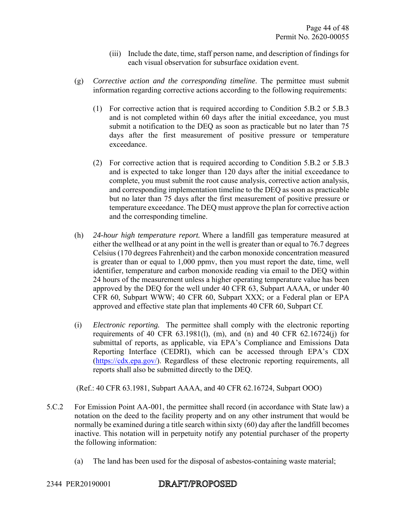- (iii) Include the date, time, staff person name, and description of findings for each visual observation for subsurface oxidation event.
- (g) *Corrective action and the corresponding timeline*. The permittee must submit information regarding corrective actions according to the following requirements:
	- (1) For corrective action that is required according to Condition 5.B.2 or 5.B.3 and is not completed within 60 days after the initial exceedance, you must submit a notification to the DEQ as soon as practicable but no later than 75 days after the first measurement of positive pressure or temperature exceedance.
	- (2) For corrective action that is required according to Condition 5.B.2 or 5.B.3 and is expected to take longer than 120 days after the initial exceedance to complete, you must submit the root cause analysis, corrective action analysis, and corresponding implementation timeline to the DEQ as soon as practicable but no later than 75 days after the first measurement of positive pressure or temperature exceedance. The DEQ must approve the plan for corrective action and the corresponding timeline.
- (h) *24-hour high temperature report.* Where a landfill gas temperature measured at either the wellhead or at any point in the well is greater than or equal to 76.7 degrees Celsius (170 degrees Fahrenheit) and the carbon monoxide concentration measured is greater than or equal to 1,000 ppmv, then you must report the date, time, well identifier, temperature and carbon monoxide reading via email to the DEQ within 24 hours of the measurement unless a higher operating temperature value has been approved by the DEQ for the well under 40 CFR 63, Subpart AAAA, or under 40 CFR 60, Subpart WWW; 40 CFR 60, Subpart XXX; or a Federal plan or EPA approved and effective state plan that implements 40 CFR 60, Subpart Cf.
- (i) *Electronic reporting.* The permittee shall comply with the electronic reporting requirements of 40 CFR 63.1981(l), (m), and (n) and 40 CFR 62.16724(j) for submittal of reports, as applicable, via EPA's Compliance and Emissions Data Reporting Interface (CEDRI), which can be accessed through EPA's CDX (https://cdx.epa.gov/). Regardless of these electronic reporting requirements, all reports shall also be submitted directly to the DEQ.

(Ref.: 40 CFR 63.1981, Subpart AAAA, and 40 CFR 62.16724, Subpart OOO)

- 5.C.2 For Emission Point AA-001, the permittee shall record (in accordance with State law) a notation on the deed to the facility property and on any other instrument that would be normally be examined during a title search within sixty (60) day after the landfill becomes inactive. This notation will in perpetuity notify any potential purchaser of the property the following information:
	- (a) The land has been used for the disposal of asbestos-containing waste material;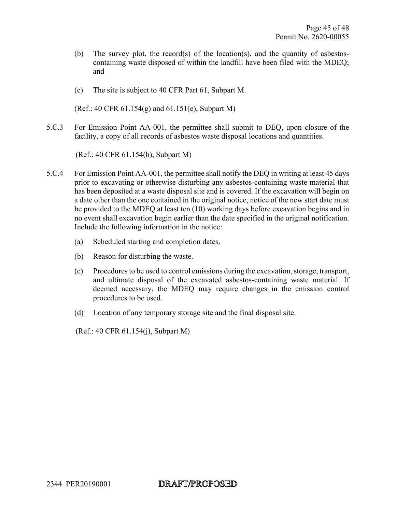- (b) The survey plot, the record(s) of the location(s), and the quantity of asbestoscontaining waste disposed of within the landfill have been filed with the MDEQ; and
- (c) The site is subject to 40 CFR Part 61, Subpart M.

(Ref.: 40 CFR 61.154(g) and 61.151(e), Subpart M)

5.C.3 For Emission Point AA-001, the permittee shall submit to DEQ, upon closure of the facility, a copy of all records of asbestos waste disposal locations and quantities.

(Ref.: 40 CFR 61.154(h), Subpart M)

- 5.C.4 For Emission Point AA-001, the permittee shall notify the DEQ in writing at least 45 days prior to excavating or otherwise disturbing any asbestos-containing waste material that has been deposited at a waste disposal site and is covered. If the excavation will begin on a date other than the one contained in the original notice, notice of the new start date must be provided to the MDEQ at least ten (10) working days before excavation begins and in no event shall excavation begin earlier than the date specified in the original notification. Include the following information in the notice:
	- (a) Scheduled starting and completion dates.
	- (b) Reason for disturbing the waste.
	- (c) Procedures to be used to control emissions during the excavation, storage, transport, and ultimate disposal of the excavated asbestos-containing waste material. If deemed necessary, the MDEQ may require changes in the emission control procedures to be used.
	- (d) Location of any temporary storage site and the final disposal site.

(Ref.: 40 CFR 61.154(j), Subpart M)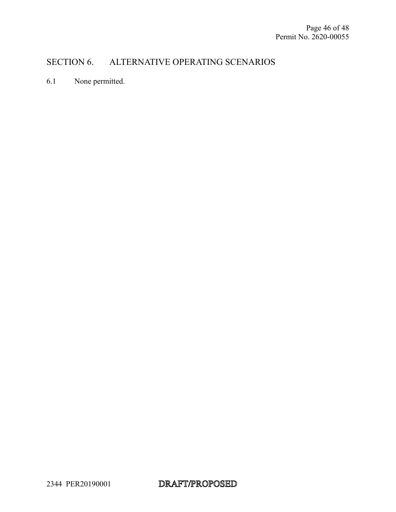## SECTION 6. ALTERNATIVE OPERATING SCENARIOS

6.1 None permitted.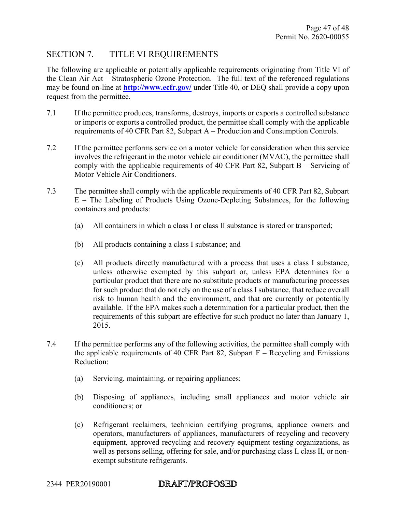### SECTION 7. TITLE VI REQUIREMENTS

The following are applicable or potentially applicable requirements originating from Title VI of the Clean Air Act – Stratospheric Ozone Protection. The full text of the referenced regulations may be found on-line at **http://www.ecfr.gov/** under Title 40, or DEQ shall provide a copy upon request from the permittee.

- 7.1 If the permittee produces, transforms, destroys, imports or exports a controlled substance or imports or exports a controlled product, the permittee shall comply with the applicable requirements of 40 CFR Part 82, Subpart A – Production and Consumption Controls.
- 7.2 If the permittee performs service on a motor vehicle for consideration when this service involves the refrigerant in the motor vehicle air conditioner (MVAC), the permittee shall comply with the applicable requirements of 40 CFR Part 82, Subpart B – Servicing of Motor Vehicle Air Conditioners.
- 7.3 The permittee shall comply with the applicable requirements of 40 CFR Part 82, Subpart E – The Labeling of Products Using Ozone-Depleting Substances, for the following containers and products:
	- (a) All containers in which a class I or class II substance is stored or transported;
	- (b) All products containing a class I substance; and
	- (c) All products directly manufactured with a process that uses a class I substance, unless otherwise exempted by this subpart or, unless EPA determines for a particular product that there are no substitute products or manufacturing processes for such product that do not rely on the use of a class I substance, that reduce overall risk to human health and the environment, and that are currently or potentially available. If the EPA makes such a determination for a particular product, then the requirements of this subpart are effective for such product no later than January 1, 2015.
- 7.4 If the permittee performs any of the following activities, the permittee shall comply with the applicable requirements of 40 CFR Part 82, Subpart  $F -$  Recycling and Emissions Reduction:
	- (a) Servicing, maintaining, or repairing appliances;
	- (b) Disposing of appliances, including small appliances and motor vehicle air conditioners; or
	- (c) Refrigerant reclaimers, technician certifying programs, appliance owners and operators, manufacturers of appliances, manufacturers of recycling and recovery equipment, approved recycling and recovery equipment testing organizations, as well as persons selling, offering for sale, and/or purchasing class I, class II, or nonexempt substitute refrigerants.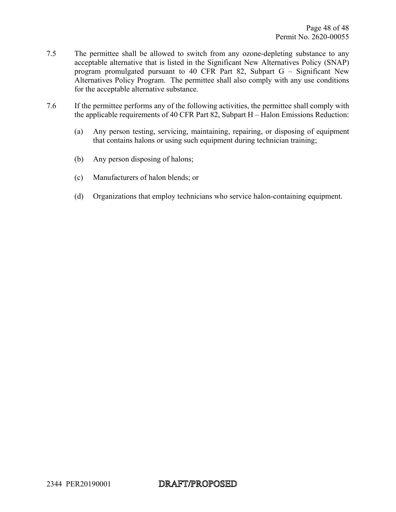- 7.5 The permittee shall be allowed to switch from any ozone-depleting substance to any acceptable alternative that is listed in the Significant New Alternatives Policy (SNAP) program promulgated pursuant to 40 CFR Part 82, Subpart G – Significant New Alternatives Policy Program. The permittee shall also comply with any use conditions for the acceptable alternative substance.
- 7.6 If the permittee performs any of the following activities, the permittee shall comply with the applicable requirements of 40 CFR Part 82, Subpart H – Halon Emissions Reduction:
	- (a) Any person testing, servicing, maintaining, repairing, or disposing of equipment that contains halons or using such equipment during technician training;
	- (b) Any person disposing of halons;
	- (c) Manufacturers of halon blends; or
	- (d) Organizations that employ technicians who service halon-containing equipment.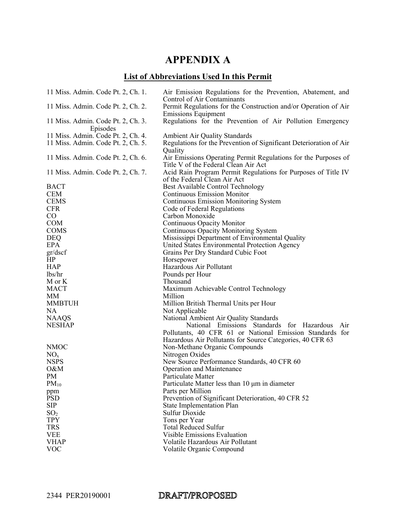# **APPENDIX A**

# **List of Abbreviations Used In this Permit**

| 11 Miss. Admin. Code Pt. 2, Ch. 1.             | Air Emission Regulations for the Prevention, Abatement, and<br>Control of Air Contaminants    |
|------------------------------------------------|-----------------------------------------------------------------------------------------------|
| 11 Miss. Admin. Code Pt. 2, Ch. 2.             | Permit Regulations for the Construction and/or Operation of Air<br><b>Emissions Equipment</b> |
| 11 Miss. Admin. Code Pt. 2, Ch. 3.<br>Episodes | Regulations for the Prevention of Air Pollution Emergency                                     |
| 11 Miss. Admin. Code Pt. 2, Ch. 4.             | Ambient Air Quality Standards                                                                 |
| 11 Miss. Admin. Code Pt. 2, Ch. 5.             | Regulations for the Prevention of Significant Deterioration of Air                            |
|                                                | Quality                                                                                       |
| 11 Miss. Admin. Code Pt. 2, Ch. 6.             | Air Emissions Operating Permit Regulations for the Purposes of                                |
|                                                | Title V of the Federal Clean Air Act                                                          |
| 11 Miss. Admin. Code Pt. 2, Ch. 7.             | Acid Rain Program Permit Regulations for Purposes of Title IV                                 |
|                                                | of the Federal Clean Air Act                                                                  |
| <b>BACT</b>                                    | Best Available Control Technology                                                             |
| <b>CEM</b>                                     | <b>Continuous Emission Monitor</b>                                                            |
| <b>CEMS</b>                                    | <b>Continuous Emission Monitoring System</b>                                                  |
| <b>CFR</b>                                     | Code of Federal Regulations                                                                   |
| $\rm CO$                                       | Carbon Monoxide                                                                               |
| <b>COM</b>                                     | Continuous Opacity Monitor                                                                    |
| <b>COMS</b>                                    | <b>Continuous Opacity Monitoring System</b>                                                   |
| <b>DEQ</b>                                     | Mississippi Department of Environmental Quality                                               |
| <b>EPA</b>                                     | United States Environmental Protection Agency                                                 |
| gr/dscf                                        | Grains Per Dry Standard Cubic Foot                                                            |
| HP                                             | Horsepower                                                                                    |
| <b>HAP</b>                                     | Hazardous Air Pollutant                                                                       |
| lbs/hr                                         | Pounds per Hour                                                                               |
| M or K                                         | Thousand                                                                                      |
| <b>MACT</b>                                    | Maximum Achievable Control Technology                                                         |
| МM                                             | Million                                                                                       |
| <b>MMBTUH</b>                                  | Million British Thermal Units per Hour                                                        |
| NA                                             | Not Applicable                                                                                |
| <b>NAAQS</b>                                   | National Ambient Air Quality Standards                                                        |
| <b>NESHAP</b>                                  | National Emissions Standards for Hazardous<br>Air                                             |
|                                                | Pollutants, 40 CFR 61 or National Emission Standards for                                      |
|                                                | Hazardous Air Pollutants for Source Categories, 40 CFR 63                                     |
| <b>NMOC</b>                                    | Non-Methane Organic Compounds                                                                 |
| NO <sub>x</sub>                                | Nitrogen Oxides                                                                               |
| <b>NSPS</b>                                    | New Source Performance Standards, 40 CFR 60                                                   |
| O&M                                            | <b>Operation and Maintenance</b>                                                              |
| PM                                             | Particulate Matter                                                                            |
| $PM_{10}$                                      | Particulate Matter less than 10 µm in diameter                                                |
| ppm                                            | Parts per Million                                                                             |
| <b>PSD</b>                                     | Prevention of Significant Deterioration, 40 CFR 52                                            |
| <b>SIP</b>                                     | <b>State Implementation Plan</b>                                                              |
| SO <sub>2</sub>                                | Sulfur Dioxide                                                                                |
| <b>TPY</b>                                     | Tons per Year                                                                                 |
| <b>TRS</b>                                     | <b>Total Reduced Sulfur</b>                                                                   |
| <b>VEE</b>                                     | <b>Visible Emissions Evaluation</b>                                                           |
| <b>VHAP</b>                                    | Volatile Hazardous Air Pollutant                                                              |
| <b>VOC</b>                                     | Volatile Organic Compound                                                                     |

#### DRAFT/PROPOSED